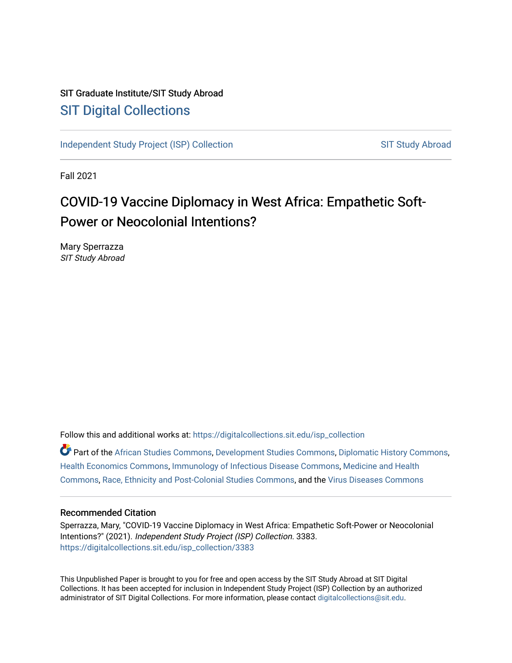# SIT Graduate Institute/SIT Study Abroad [SIT Digital Collections](https://digitalcollections.sit.edu/)

[Independent Study Project \(ISP\) Collection](https://digitalcollections.sit.edu/isp_collection) [SIT Study Abroad](https://digitalcollections.sit.edu/study_abroad) SIT Study Abroad

Fall 2021

# COVID-19 Vaccine Diplomacy in West Africa: Empathetic Soft-Power or Neocolonial Intentions?

Mary Sperrazza SIT Study Abroad

Follow this and additional works at: [https://digitalcollections.sit.edu/isp\\_collection](https://digitalcollections.sit.edu/isp_collection?utm_source=digitalcollections.sit.edu%2Fisp_collection%2F3383&utm_medium=PDF&utm_campaign=PDFCoverPages) 

Part of the [African Studies Commons,](http://network.bepress.com/hgg/discipline/1043?utm_source=digitalcollections.sit.edu%2Fisp_collection%2F3383&utm_medium=PDF&utm_campaign=PDFCoverPages) [Development Studies Commons,](http://network.bepress.com/hgg/discipline/1422?utm_source=digitalcollections.sit.edu%2Fisp_collection%2F3383&utm_medium=PDF&utm_campaign=PDFCoverPages) [Diplomatic History Commons,](http://network.bepress.com/hgg/discipline/497?utm_source=digitalcollections.sit.edu%2Fisp_collection%2F3383&utm_medium=PDF&utm_campaign=PDFCoverPages) [Health Economics Commons](http://network.bepress.com/hgg/discipline/1085?utm_source=digitalcollections.sit.edu%2Fisp_collection%2F3383&utm_medium=PDF&utm_campaign=PDFCoverPages), [Immunology of Infectious Disease Commons](http://network.bepress.com/hgg/discipline/35?utm_source=digitalcollections.sit.edu%2Fisp_collection%2F3383&utm_medium=PDF&utm_campaign=PDFCoverPages), [Medicine and Health](http://network.bepress.com/hgg/discipline/422?utm_source=digitalcollections.sit.edu%2Fisp_collection%2F3383&utm_medium=PDF&utm_campaign=PDFCoverPages)  [Commons](http://network.bepress.com/hgg/discipline/422?utm_source=digitalcollections.sit.edu%2Fisp_collection%2F3383&utm_medium=PDF&utm_campaign=PDFCoverPages), [Race, Ethnicity and Post-Colonial Studies Commons](http://network.bepress.com/hgg/discipline/566?utm_source=digitalcollections.sit.edu%2Fisp_collection%2F3383&utm_medium=PDF&utm_campaign=PDFCoverPages), and the [Virus Diseases Commons](http://network.bepress.com/hgg/discipline/998?utm_source=digitalcollections.sit.edu%2Fisp_collection%2F3383&utm_medium=PDF&utm_campaign=PDFCoverPages) 

#### Recommended Citation

Sperrazza, Mary, "COVID-19 Vaccine Diplomacy in West Africa: Empathetic Soft-Power or Neocolonial Intentions?" (2021). Independent Study Project (ISP) Collection. 3383. [https://digitalcollections.sit.edu/isp\\_collection/3383](https://digitalcollections.sit.edu/isp_collection/3383?utm_source=digitalcollections.sit.edu%2Fisp_collection%2F3383&utm_medium=PDF&utm_campaign=PDFCoverPages) 

This Unpublished Paper is brought to you for free and open access by the SIT Study Abroad at SIT Digital Collections. It has been accepted for inclusion in Independent Study Project (ISP) Collection by an authorized administrator of SIT Digital Collections. For more information, please contact [digitalcollections@sit.edu](mailto:digitalcollections@sit.edu).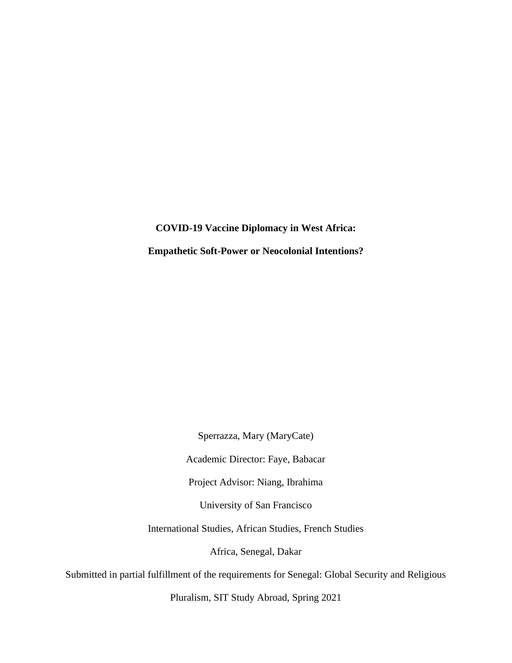**COVID-19 Vaccine Diplomacy in West Africa: Empathetic Soft-Power or Neocolonial Intentions?**

Sperrazza, Mary (MaryCate)

Academic Director: Faye, Babacar

Project Advisor: Niang, Ibrahima

University of San Francisco

International Studies, African Studies, French Studies

Africa, Senegal, Dakar

Submitted in partial fulfillment of the requirements for Senegal: Global Security and Religious

Pluralism, SIT Study Abroad, Spring 2021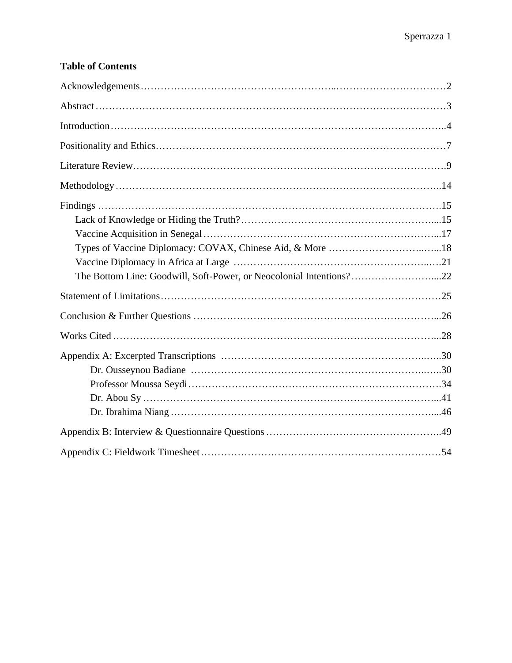# **Table of Contents**

| The Bottom Line: Goodwill, Soft-Power, or Neocolonial Intentions?22 |  |
|---------------------------------------------------------------------|--|
|                                                                     |  |
|                                                                     |  |
|                                                                     |  |
|                                                                     |  |
|                                                                     |  |
|                                                                     |  |
|                                                                     |  |
|                                                                     |  |
|                                                                     |  |
|                                                                     |  |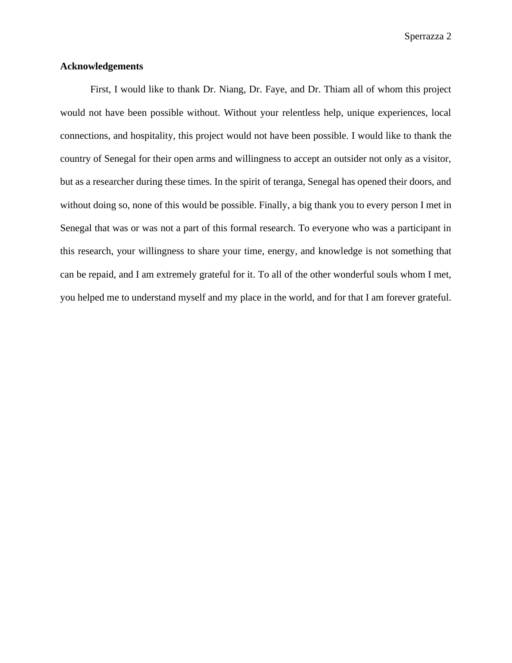### <span id="page-3-0"></span>**Acknowledgements**

First, I would like to thank Dr. Niang, Dr. Faye, and Dr. Thiam all of whom this project would not have been possible without. Without your relentless help, unique experiences, local connections, and hospitality, this project would not have been possible. I would like to thank the country of Senegal for their open arms and willingness to accept an outsider not only as a visitor, but as a researcher during these times. In the spirit of teranga, Senegal has opened their doors, and without doing so, none of this would be possible. Finally, a big thank you to every person I met in Senegal that was or was not a part of this formal research. To everyone who was a participant in this research, your willingness to share your time, energy, and knowledge is not something that can be repaid, and I am extremely grateful for it. To all of the other wonderful souls whom I met, you helped me to understand myself and my place in the world, and for that I am forever grateful.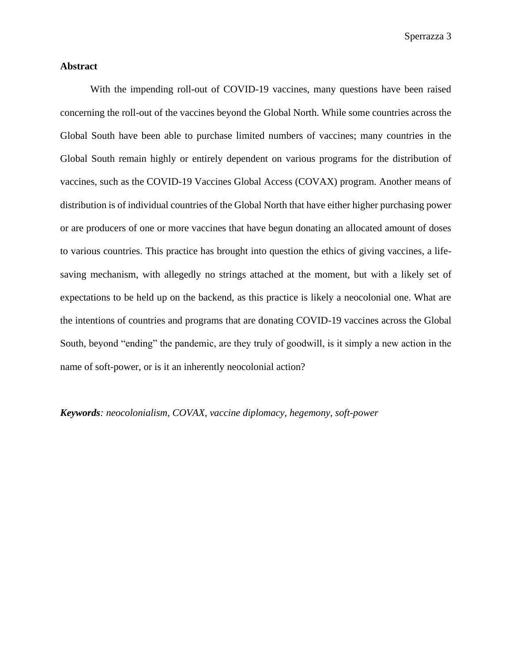### <span id="page-4-0"></span>**Abstract**

With the impending roll-out of COVID-19 vaccines, many questions have been raised concerning the roll-out of the vaccines beyond the Global North. While some countries across the Global South have been able to purchase limited numbers of vaccines; many countries in the Global South remain highly or entirely dependent on various programs for the distribution of vaccines, such as the COVID-19 Vaccines Global Access (COVAX) program. Another means of distribution is of individual countries of the Global North that have either higher purchasing power or are producers of one or more vaccines that have begun donating an allocated amount of doses to various countries. This practice has brought into question the ethics of giving vaccines, a lifesaving mechanism, with allegedly no strings attached at the moment, but with a likely set of expectations to be held up on the backend, as this practice is likely a neocolonial one. What are the intentions of countries and programs that are donating COVID-19 vaccines across the Global South, beyond "ending" the pandemic, are they truly of goodwill, is it simply a new action in the name of soft-power, or is it an inherently neocolonial action?

*Keywords: neocolonialism, COVAX, vaccine diplomacy, hegemony, soft-power*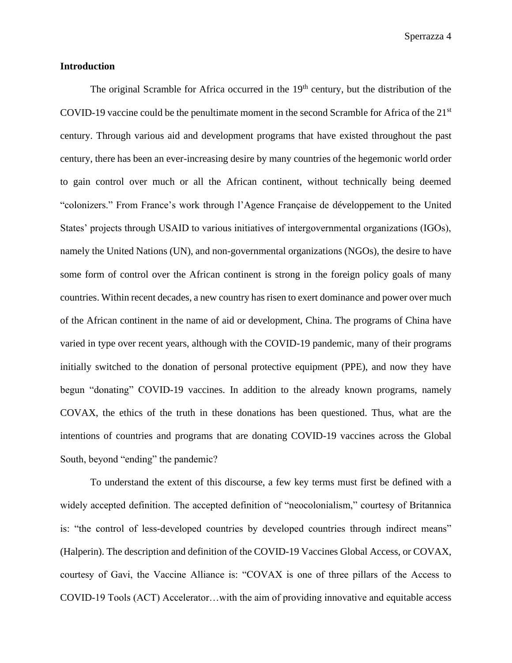#### <span id="page-5-0"></span>**Introduction**

The original Scramble for Africa occurred in the 19<sup>th</sup> century, but the distribution of the COVID-19 vaccine could be the penultimate moment in the second Scramble for Africa of the 21st century. Through various aid and development programs that have existed throughout the past century, there has been an ever-increasing desire by many countries of the hegemonic world order to gain control over much or all the African continent, without technically being deemed "colonizers." From France's work through l'Agence Française de développement to the United States' projects through USAID to various initiatives of intergovernmental organizations (IGOs), namely the United Nations (UN), and non-governmental organizations (NGOs), the desire to have some form of control over the African continent is strong in the foreign policy goals of many countries. Within recent decades, a new country has risen to exert dominance and power over much of the African continent in the name of aid or development, China. The programs of China have varied in type over recent years, although with the COVID-19 pandemic, many of their programs initially switched to the donation of personal protective equipment (PPE), and now they have begun "donating" COVID-19 vaccines. In addition to the already known programs, namely COVAX, the ethics of the truth in these donations has been questioned. Thus, what are the intentions of countries and programs that are donating COVID-19 vaccines across the Global South, beyond "ending" the pandemic?

To understand the extent of this discourse, a few key terms must first be defined with a widely accepted definition. The accepted definition of "neocolonialism," courtesy of Britannica is: "the control of less-developed countries by developed countries through indirect means" (Halperin). The description and definition of the COVID-19 Vaccines Global Access, or COVAX, courtesy of Gavi, the Vaccine Alliance is: "COVAX is one of three pillars of the Access to COVID-19 Tools (ACT) Accelerator…with the aim of providing innovative and equitable access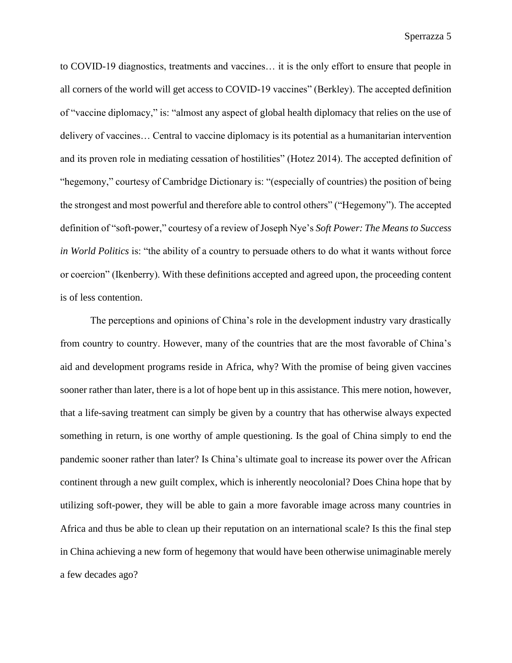to COVID-19 diagnostics, treatments and vaccines… it is the only effort to ensure that people in all corners of the world will get access to COVID-19 vaccines" (Berkley). The accepted definition of "vaccine diplomacy," is: "almost any aspect of global health diplomacy that relies on the use of delivery of vaccines… Central to vaccine diplomacy is its potential as a humanitarian intervention and its proven role in mediating cessation of hostilities" (Hotez 2014). The accepted definition of "hegemony," courtesy of Cambridge Dictionary is: "(especially of countries) the position of being the strongest and most powerful and therefore able to control others" ("Hegemony"). The accepted definition of "soft-power," courtesy of a review of Joseph Nye's *Soft Power: The Means to Success in World Politics* is: "the ability of a country to persuade others to do what it wants without force or coercion" (Ikenberry). With these definitions accepted and agreed upon, the proceeding content is of less contention.

The perceptions and opinions of China's role in the development industry vary drastically from country to country. However, many of the countries that are the most favorable of China's aid and development programs reside in Africa, why? With the promise of being given vaccines sooner rather than later, there is a lot of hope bent up in this assistance. This mere notion, however, that a life-saving treatment can simply be given by a country that has otherwise always expected something in return, is one worthy of ample questioning. Is the goal of China simply to end the pandemic sooner rather than later? Is China's ultimate goal to increase its power over the African continent through a new guilt complex, which is inherently neocolonial? Does China hope that by utilizing soft-power, they will be able to gain a more favorable image across many countries in Africa and thus be able to clean up their reputation on an international scale? Is this the final step in China achieving a new form of hegemony that would have been otherwise unimaginable merely a few decades ago?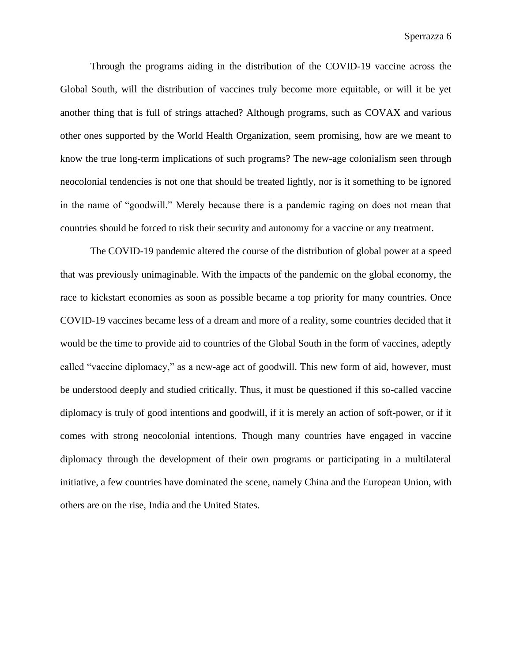Through the programs aiding in the distribution of the COVID-19 vaccine across the Global South, will the distribution of vaccines truly become more equitable, or will it be yet another thing that is full of strings attached? Although programs, such as COVAX and various other ones supported by the World Health Organization, seem promising, how are we meant to know the true long-term implications of such programs? The new-age colonialism seen through neocolonial tendencies is not one that should be treated lightly, nor is it something to be ignored in the name of "goodwill." Merely because there is a pandemic raging on does not mean that countries should be forced to risk their security and autonomy for a vaccine or any treatment.

The COVID-19 pandemic altered the course of the distribution of global power at a speed that was previously unimaginable. With the impacts of the pandemic on the global economy, the race to kickstart economies as soon as possible became a top priority for many countries. Once COVID-19 vaccines became less of a dream and more of a reality, some countries decided that it would be the time to provide aid to countries of the Global South in the form of vaccines, adeptly called "vaccine diplomacy," as a new-age act of goodwill. This new form of aid, however, must be understood deeply and studied critically. Thus, it must be questioned if this so-called vaccine diplomacy is truly of good intentions and goodwill, if it is merely an action of soft-power, or if it comes with strong neocolonial intentions. Though many countries have engaged in vaccine diplomacy through the development of their own programs or participating in a multilateral initiative, a few countries have dominated the scene, namely China and the European Union, with others are on the rise, India and the United States.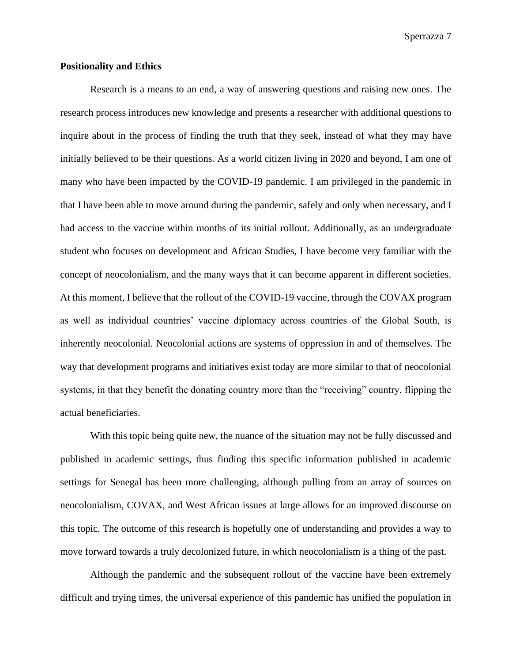#### <span id="page-8-0"></span>**Positionality and Ethics**

Research is a means to an end, a way of answering questions and raising new ones. The research process introduces new knowledge and presents a researcher with additional questions to inquire about in the process of finding the truth that they seek, instead of what they may have initially believed to be their questions. As a world citizen living in 2020 and beyond, I am one of many who have been impacted by the COVID-19 pandemic. I am privileged in the pandemic in that I have been able to move around during the pandemic, safely and only when necessary, and I had access to the vaccine within months of its initial rollout. Additionally, as an undergraduate student who focuses on development and African Studies, I have become very familiar with the concept of neocolonialism, and the many ways that it can become apparent in different societies. At this moment, I believe that the rollout of the COVID-19 vaccine, through the COVAX program as well as individual countries' vaccine diplomacy across countries of the Global South, is inherently neocolonial. Neocolonial actions are systems of oppression in and of themselves. The way that development programs and initiatives exist today are more similar to that of neocolonial systems, in that they benefit the donating country more than the "receiving" country, flipping the actual beneficiaries.

With this topic being quite new, the nuance of the situation may not be fully discussed and published in academic settings, thus finding this specific information published in academic settings for Senegal has been more challenging, although pulling from an array of sources on neocolonialism, COVAX, and West African issues at large allows for an improved discourse on this topic. The outcome of this research is hopefully one of understanding and provides a way to move forward towards a truly decolonized future, in which neocolonialism is a thing of the past.

Although the pandemic and the subsequent rollout of the vaccine have been extremely difficult and trying times, the universal experience of this pandemic has unified the population in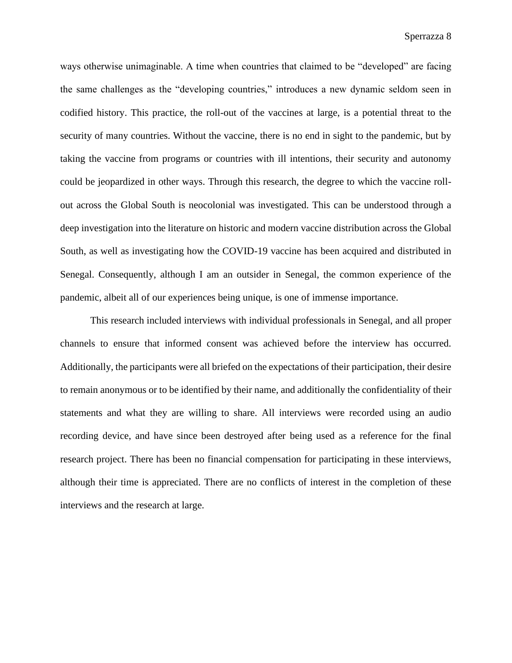ways otherwise unimaginable. A time when countries that claimed to be "developed" are facing the same challenges as the "developing countries," introduces a new dynamic seldom seen in codified history. This practice, the roll-out of the vaccines at large, is a potential threat to the security of many countries. Without the vaccine, there is no end in sight to the pandemic, but by taking the vaccine from programs or countries with ill intentions, their security and autonomy could be jeopardized in other ways. Through this research, the degree to which the vaccine rollout across the Global South is neocolonial was investigated. This can be understood through a deep investigation into the literature on historic and modern vaccine distribution across the Global South, as well as investigating how the COVID-19 vaccine has been acquired and distributed in Senegal. Consequently, although I am an outsider in Senegal, the common experience of the pandemic, albeit all of our experiences being unique, is one of immense importance.

This research included interviews with individual professionals in Senegal, and all proper channels to ensure that informed consent was achieved before the interview has occurred. Additionally, the participants were all briefed on the expectations of their participation, their desire to remain anonymous or to be identified by their name, and additionally the confidentiality of their statements and what they are willing to share. All interviews were recorded using an audio recording device, and have since been destroyed after being used as a reference for the final research project. There has been no financial compensation for participating in these interviews, although their time is appreciated. There are no conflicts of interest in the completion of these interviews and the research at large.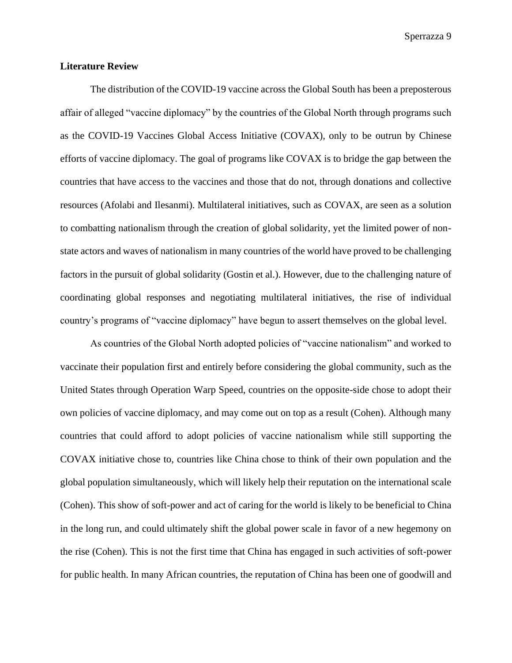#### <span id="page-10-0"></span>**Literature Review**

The distribution of the COVID-19 vaccine across the Global South has been a preposterous affair of alleged "vaccine diplomacy" by the countries of the Global North through programs such as the COVID-19 Vaccines Global Access Initiative (COVAX), only to be outrun by Chinese efforts of vaccine diplomacy. The goal of programs like COVAX is to bridge the gap between the countries that have access to the vaccines and those that do not, through donations and collective resources (Afolabi and Ilesanmi). Multilateral initiatives, such as COVAX, are seen as a solution to combatting nationalism through the creation of global solidarity, yet the limited power of nonstate actors and waves of nationalism in many countries of the world have proved to be challenging factors in the pursuit of global solidarity (Gostin et al.). However, due to the challenging nature of coordinating global responses and negotiating multilateral initiatives, the rise of individual country's programs of "vaccine diplomacy" have begun to assert themselves on the global level.

As countries of the Global North adopted policies of "vaccine nationalism" and worked to vaccinate their population first and entirely before considering the global community, such as the United States through Operation Warp Speed, countries on the opposite-side chose to adopt their own policies of vaccine diplomacy, and may come out on top as a result (Cohen). Although many countries that could afford to adopt policies of vaccine nationalism while still supporting the COVAX initiative chose to, countries like China chose to think of their own population and the global population simultaneously, which will likely help their reputation on the international scale (Cohen). This show of soft-power and act of caring for the world is likely to be beneficial to China in the long run, and could ultimately shift the global power scale in favor of a new hegemony on the rise (Cohen). This is not the first time that China has engaged in such activities of soft-power for public health. In many African countries, the reputation of China has been one of goodwill and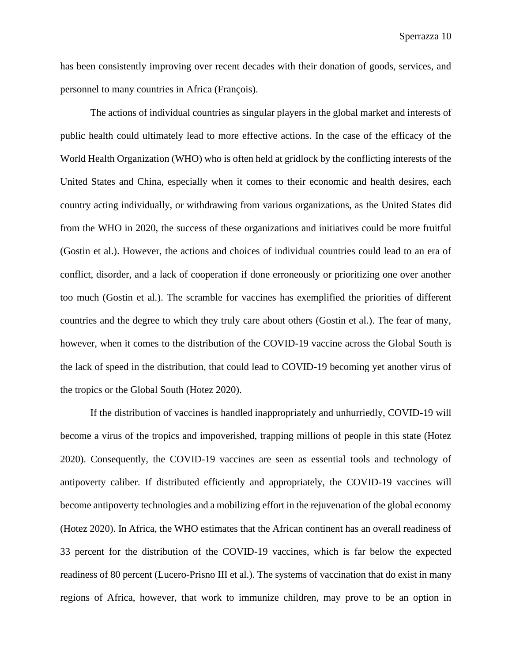has been consistently improving over recent decades with their donation of goods, services, and personnel to many countries in Africa (François).

The actions of individual countries as singular players in the global market and interests of public health could ultimately lead to more effective actions. In the case of the efficacy of the World Health Organization (WHO) who is often held at gridlock by the conflicting interests of the United States and China, especially when it comes to their economic and health desires, each country acting individually, or withdrawing from various organizations, as the United States did from the WHO in 2020, the success of these organizations and initiatives could be more fruitful (Gostin et al.). However, the actions and choices of individual countries could lead to an era of conflict, disorder, and a lack of cooperation if done erroneously or prioritizing one over another too much (Gostin et al.). The scramble for vaccines has exemplified the priorities of different countries and the degree to which they truly care about others (Gostin et al.). The fear of many, however, when it comes to the distribution of the COVID-19 vaccine across the Global South is the lack of speed in the distribution, that could lead to COVID-19 becoming yet another virus of the tropics or the Global South (Hotez 2020).

If the distribution of vaccines is handled inappropriately and unhurriedly, COVID-19 will become a virus of the tropics and impoverished, trapping millions of people in this state (Hotez 2020). Consequently, the COVID-19 vaccines are seen as essential tools and technology of antipoverty caliber. If distributed efficiently and appropriately, the COVID-19 vaccines will become antipoverty technologies and a mobilizing effort in the rejuvenation of the global economy (Hotez 2020). In Africa, the WHO estimates that the African continent has an overall readiness of 33 percent for the distribution of the COVID-19 vaccines, which is far below the expected readiness of 80 percent (Lucero-Prisno III et al.). The systems of vaccination that do exist in many regions of Africa, however, that work to immunize children, may prove to be an option in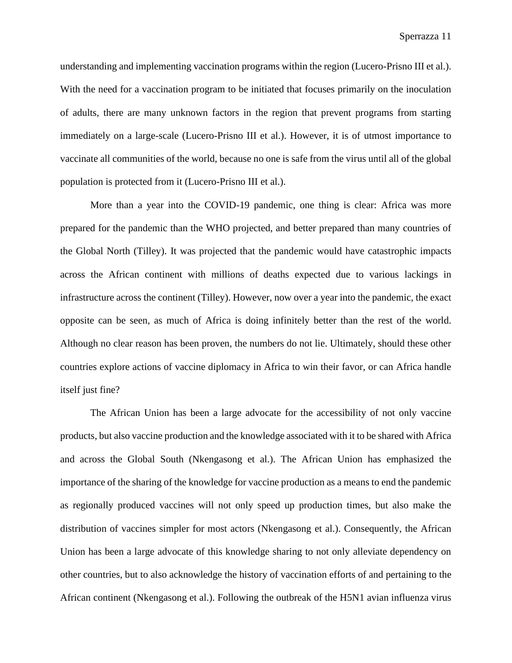understanding and implementing vaccination programs within the region (Lucero-Prisno III et al.). With the need for a vaccination program to be initiated that focuses primarily on the inoculation of adults, there are many unknown factors in the region that prevent programs from starting immediately on a large-scale (Lucero-Prisno III et al.). However, it is of utmost importance to vaccinate all communities of the world, because no one is safe from the virus until all of the global population is protected from it (Lucero-Prisno III et al.).

More than a year into the COVID-19 pandemic, one thing is clear: Africa was more prepared for the pandemic than the WHO projected, and better prepared than many countries of the Global North (Tilley). It was projected that the pandemic would have catastrophic impacts across the African continent with millions of deaths expected due to various lackings in infrastructure across the continent (Tilley). However, now over a year into the pandemic, the exact opposite can be seen, as much of Africa is doing infinitely better than the rest of the world. Although no clear reason has been proven, the numbers do not lie. Ultimately, should these other countries explore actions of vaccine diplomacy in Africa to win their favor, or can Africa handle itself just fine?

The African Union has been a large advocate for the accessibility of not only vaccine products, but also vaccine production and the knowledge associated with it to be shared with Africa and across the Global South (Nkengasong et al.). The African Union has emphasized the importance of the sharing of the knowledge for vaccine production as a means to end the pandemic as regionally produced vaccines will not only speed up production times, but also make the distribution of vaccines simpler for most actors (Nkengasong et al.). Consequently, the African Union has been a large advocate of this knowledge sharing to not only alleviate dependency on other countries, but to also acknowledge the history of vaccination efforts of and pertaining to the African continent (Nkengasong et al.). Following the outbreak of the H5N1 avian influenza virus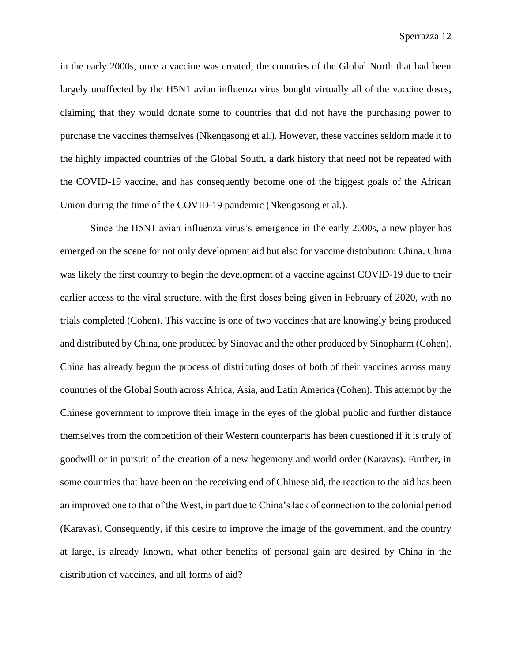in the early 2000s, once a vaccine was created, the countries of the Global North that had been largely unaffected by the H5N1 avian influenza virus bought virtually all of the vaccine doses, claiming that they would donate some to countries that did not have the purchasing power to purchase the vaccines themselves (Nkengasong et al.). However, these vaccines seldom made it to the highly impacted countries of the Global South, a dark history that need not be repeated with the COVID-19 vaccine, and has consequently become one of the biggest goals of the African Union during the time of the COVID-19 pandemic (Nkengasong et al.).

Since the H5N1 avian influenza virus's emergence in the early 2000s, a new player has emerged on the scene for not only development aid but also for vaccine distribution: China. China was likely the first country to begin the development of a vaccine against COVID-19 due to their earlier access to the viral structure, with the first doses being given in February of 2020, with no trials completed (Cohen). This vaccine is one of two vaccines that are knowingly being produced and distributed by China, one produced by Sinovac and the other produced by Sinopharm (Cohen). China has already begun the process of distributing doses of both of their vaccines across many countries of the Global South across Africa, Asia, and Latin America (Cohen). This attempt by the Chinese government to improve their image in the eyes of the global public and further distance themselves from the competition of their Western counterparts has been questioned if it is truly of goodwill or in pursuit of the creation of a new hegemony and world order (Karavas). Further, in some countries that have been on the receiving end of Chinese aid, the reaction to the aid has been an improved one to that of the West, in part due to China's lack of connection to the colonial period (Karavas). Consequently, if this desire to improve the image of the government, and the country at large, is already known, what other benefits of personal gain are desired by China in the distribution of vaccines, and all forms of aid?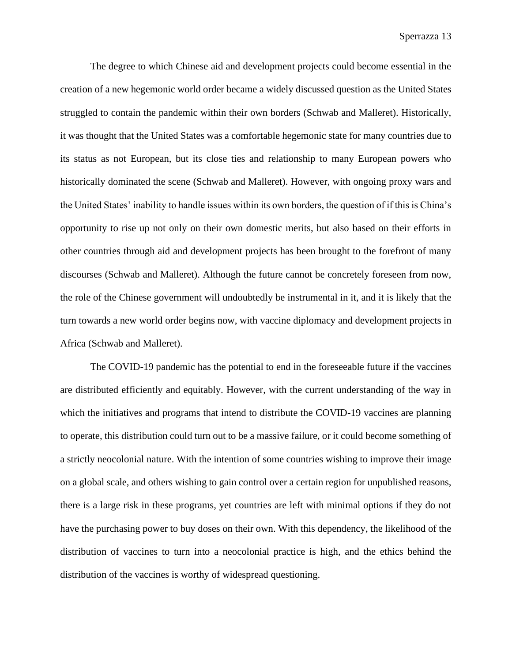The degree to which Chinese aid and development projects could become essential in the creation of a new hegemonic world order became a widely discussed question as the United States struggled to contain the pandemic within their own borders (Schwab and Malleret). Historically, it was thought that the United States was a comfortable hegemonic state for many countries due to its status as not European, but its close ties and relationship to many European powers who historically dominated the scene (Schwab and Malleret). However, with ongoing proxy wars and the United States' inability to handle issues within its own borders, the question of if this is China's opportunity to rise up not only on their own domestic merits, but also based on their efforts in other countries through aid and development projects has been brought to the forefront of many discourses (Schwab and Malleret). Although the future cannot be concretely foreseen from now, the role of the Chinese government will undoubtedly be instrumental in it, and it is likely that the turn towards a new world order begins now, with vaccine diplomacy and development projects in Africa (Schwab and Malleret).

The COVID-19 pandemic has the potential to end in the foreseeable future if the vaccines are distributed efficiently and equitably. However, with the current understanding of the way in which the initiatives and programs that intend to distribute the COVID-19 vaccines are planning to operate, this distribution could turn out to be a massive failure, or it could become something of a strictly neocolonial nature. With the intention of some countries wishing to improve their image on a global scale, and others wishing to gain control over a certain region for unpublished reasons, there is a large risk in these programs, yet countries are left with minimal options if they do not have the purchasing power to buy doses on their own. With this dependency, the likelihood of the distribution of vaccines to turn into a neocolonial practice is high, and the ethics behind the distribution of the vaccines is worthy of widespread questioning.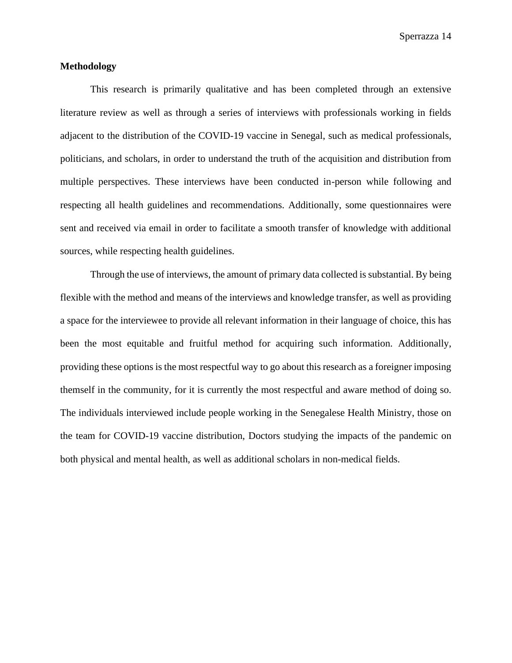### <span id="page-15-0"></span>**Methodology**

This research is primarily qualitative and has been completed through an extensive literature review as well as through a series of interviews with professionals working in fields adjacent to the distribution of the COVID-19 vaccine in Senegal, such as medical professionals, politicians, and scholars, in order to understand the truth of the acquisition and distribution from multiple perspectives. These interviews have been conducted in-person while following and respecting all health guidelines and recommendations. Additionally, some questionnaires were sent and received via email in order to facilitate a smooth transfer of knowledge with additional sources, while respecting health guidelines.

Through the use of interviews, the amount of primary data collected is substantial. By being flexible with the method and means of the interviews and knowledge transfer, as well as providing a space for the interviewee to provide all relevant information in their language of choice, this has been the most equitable and fruitful method for acquiring such information. Additionally, providing these options is the most respectful way to go about this research as a foreigner imposing themself in the community, for it is currently the most respectful and aware method of doing so. The individuals interviewed include people working in the Senegalese Health Ministry, those on the team for COVID-19 vaccine distribution, Doctors studying the impacts of the pandemic on both physical and mental health, as well as additional scholars in non-medical fields.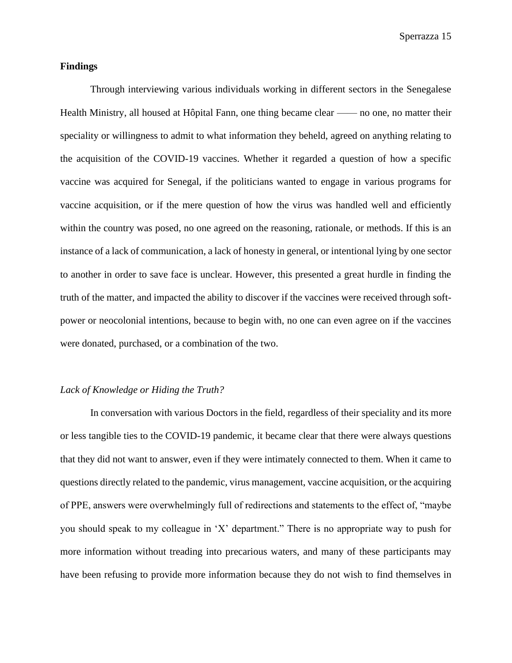#### <span id="page-16-0"></span>**Findings**

Through interviewing various individuals working in different sectors in the Senegalese Health Ministry, all housed at Hôpital Fann, one thing became clear —— no one, no matter their speciality or willingness to admit to what information they beheld, agreed on anything relating to the acquisition of the COVID-19 vaccines. Whether it regarded a question of how a specific vaccine was acquired for Senegal, if the politicians wanted to engage in various programs for vaccine acquisition, or if the mere question of how the virus was handled well and efficiently within the country was posed, no one agreed on the reasoning, rationale, or methods. If this is an instance of a lack of communication, a lack of honesty in general, or intentional lying by one sector to another in order to save face is unclear. However, this presented a great hurdle in finding the truth of the matter, and impacted the ability to discover if the vaccines were received through softpower or neocolonial intentions, because to begin with, no one can even agree on if the vaccines were donated, purchased, or a combination of the two.

#### <span id="page-16-1"></span>*Lack of Knowledge or Hiding the Truth?*

In conversation with various Doctors in the field, regardless of their speciality and its more or less tangible ties to the COVID-19 pandemic, it became clear that there were always questions that they did not want to answer, even if they were intimately connected to them. When it came to questions directly related to the pandemic, virus management, vaccine acquisition, or the acquiring of PPE, answers were overwhelmingly full of redirections and statements to the effect of, "maybe you should speak to my colleague in 'X' department." There is no appropriate way to push for more information without treading into precarious waters, and many of these participants may have been refusing to provide more information because they do not wish to find themselves in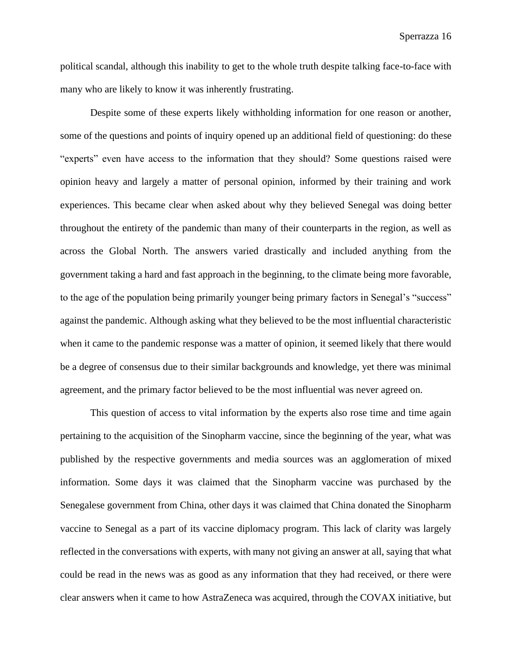political scandal, although this inability to get to the whole truth despite talking face-to-face with many who are likely to know it was inherently frustrating.

Despite some of these experts likely withholding information for one reason or another, some of the questions and points of inquiry opened up an additional field of questioning: do these "experts" even have access to the information that they should? Some questions raised were opinion heavy and largely a matter of personal opinion, informed by their training and work experiences. This became clear when asked about why they believed Senegal was doing better throughout the entirety of the pandemic than many of their counterparts in the region, as well as across the Global North. The answers varied drastically and included anything from the government taking a hard and fast approach in the beginning, to the climate being more favorable, to the age of the population being primarily younger being primary factors in Senegal's "success" against the pandemic. Although asking what they believed to be the most influential characteristic when it came to the pandemic response was a matter of opinion, it seemed likely that there would be a degree of consensus due to their similar backgrounds and knowledge, yet there was minimal agreement, and the primary factor believed to be the most influential was never agreed on.

This question of access to vital information by the experts also rose time and time again pertaining to the acquisition of the Sinopharm vaccine, since the beginning of the year, what was published by the respective governments and media sources was an agglomeration of mixed information. Some days it was claimed that the Sinopharm vaccine was purchased by the Senegalese government from China, other days it was claimed that China donated the Sinopharm vaccine to Senegal as a part of its vaccine diplomacy program. This lack of clarity was largely reflected in the conversations with experts, with many not giving an answer at all, saying that what could be read in the news was as good as any information that they had received, or there were clear answers when it came to how AstraZeneca was acquired, through the COVAX initiative, but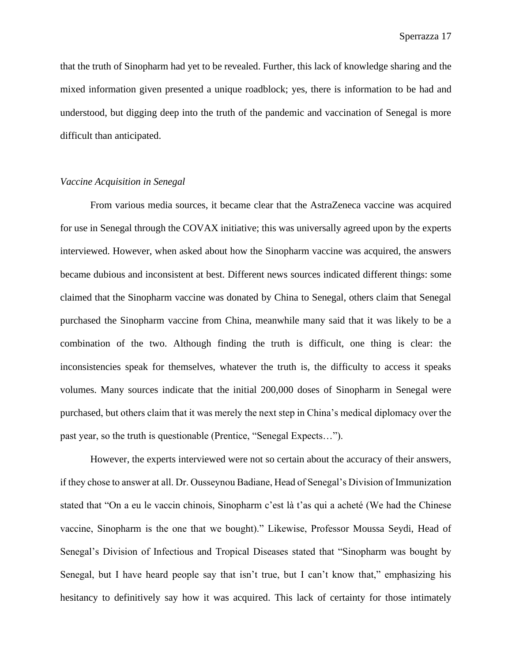that the truth of Sinopharm had yet to be revealed. Further, this lack of knowledge sharing and the mixed information given presented a unique roadblock; yes, there is information to be had and understood, but digging deep into the truth of the pandemic and vaccination of Senegal is more difficult than anticipated.

#### <span id="page-18-0"></span>*Vaccine Acquisition in Senegal*

From various media sources, it became clear that the AstraZeneca vaccine was acquired for use in Senegal through the COVAX initiative; this was universally agreed upon by the experts interviewed. However, when asked about how the Sinopharm vaccine was acquired, the answers became dubious and inconsistent at best. Different news sources indicated different things: some claimed that the Sinopharm vaccine was donated by China to Senegal, others claim that Senegal purchased the Sinopharm vaccine from China, meanwhile many said that it was likely to be a combination of the two. Although finding the truth is difficult, one thing is clear: the inconsistencies speak for themselves, whatever the truth is, the difficulty to access it speaks volumes. Many sources indicate that the initial 200,000 doses of Sinopharm in Senegal were purchased, but others claim that it was merely the next step in China's medical diplomacy over the past year, so the truth is questionable (Prentice, "Senegal Expects…").

However, the experts interviewed were not so certain about the accuracy of their answers, if they chose to answer at all. Dr. Ousseynou Badiane, Head of Senegal's Division of Immunization stated that "On a eu le vaccin chinois, Sinopharm c'est là t'as qui a acheté (We had the Chinese vaccine, Sinopharm is the one that we bought)." Likewise, Professor Moussa Seydi, Head of Senegal's Division of Infectious and Tropical Diseases stated that "Sinopharm was bought by Senegal, but I have heard people say that isn't true, but I can't know that," emphasizing his hesitancy to definitively say how it was acquired. This lack of certainty for those intimately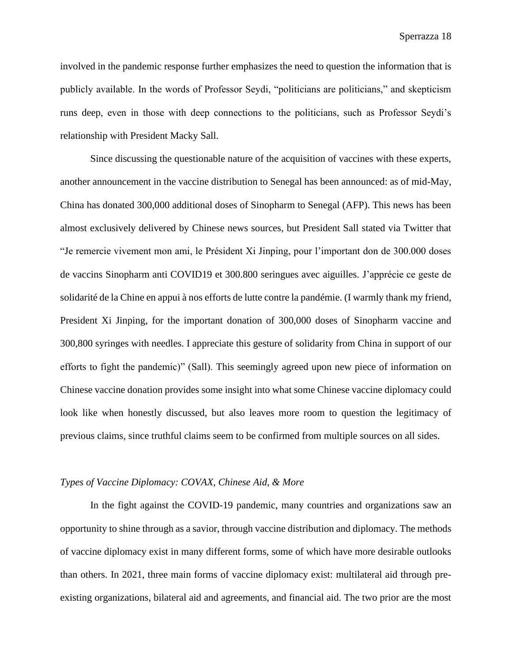involved in the pandemic response further emphasizes the need to question the information that is publicly available. In the words of Professor Seydi, "politicians are politicians," and skepticism runs deep, even in those with deep connections to the politicians, such as Professor Seydi's relationship with President Macky Sall.

Since discussing the questionable nature of the acquisition of vaccines with these experts, another announcement in the vaccine distribution to Senegal has been announced: as of mid-May, China has donated 300,000 additional doses of Sinopharm to Senegal (AFP). This news has been almost exclusively delivered by Chinese news sources, but President Sall stated via Twitter that "Je remercie vivement mon ami, le Président Xi Jinping, pour l'important don de 300.000 doses de vaccins Sinopharm anti COVID19 et 300.800 seringues avec aiguilles. J'apprécie ce geste de solidarité de la Chine en appui à nos efforts de lutte contre la pandémie. (I warmly thank my friend, President Xi Jinping, for the important donation of 300,000 doses of Sinopharm vaccine and 300,800 syringes with needles. I appreciate this gesture of solidarity from China in support of our efforts to fight the pandemic)" (Sall). This seemingly agreed upon new piece of information on Chinese vaccine donation provides some insight into what some Chinese vaccine diplomacy could look like when honestly discussed, but also leaves more room to question the legitimacy of previous claims, since truthful claims seem to be confirmed from multiple sources on all sides.

#### <span id="page-19-0"></span>*Types of Vaccine Diplomacy: COVAX, Chinese Aid, & More*

In the fight against the COVID-19 pandemic, many countries and organizations saw an opportunity to shine through as a savior, through vaccine distribution and diplomacy. The methods of vaccine diplomacy exist in many different forms, some of which have more desirable outlooks than others. In 2021, three main forms of vaccine diplomacy exist: multilateral aid through preexisting organizations, bilateral aid and agreements, and financial aid. The two prior are the most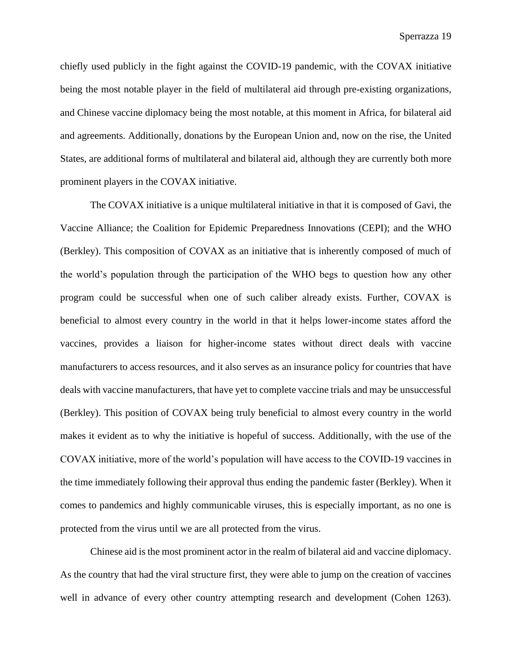chiefly used publicly in the fight against the COVID-19 pandemic, with the COVAX initiative being the most notable player in the field of multilateral aid through pre-existing organizations, and Chinese vaccine diplomacy being the most notable, at this moment in Africa, for bilateral aid and agreements. Additionally, donations by the European Union and, now on the rise, the United States, are additional forms of multilateral and bilateral aid, although they are currently both more prominent players in the COVAX initiative.

The COVAX initiative is a unique multilateral initiative in that it is composed of Gavi, the Vaccine Alliance; the Coalition for Epidemic Preparedness Innovations (CEPI); and the WHO (Berkley). This composition of COVAX as an initiative that is inherently composed of much of the world's population through the participation of the WHO begs to question how any other program could be successful when one of such caliber already exists. Further, COVAX is beneficial to almost every country in the world in that it helps lower-income states afford the vaccines, provides a liaison for higher-income states without direct deals with vaccine manufacturers to access resources, and it also serves as an insurance policy for countries that have deals with vaccine manufacturers, that have yet to complete vaccine trials and may be unsuccessful (Berkley). This position of COVAX being truly beneficial to almost every country in the world makes it evident as to why the initiative is hopeful of success. Additionally, with the use of the COVAX initiative, more of the world's population will have access to the COVID-19 vaccines in the time immediately following their approval thus ending the pandemic faster (Berkley). When it comes to pandemics and highly communicable viruses, this is especially important, as no one is protected from the virus until we are all protected from the virus.

Chinese aid is the most prominent actor in the realm of bilateral aid and vaccine diplomacy. As the country that had the viral structure first, they were able to jump on the creation of vaccines well in advance of every other country attempting research and development (Cohen 1263).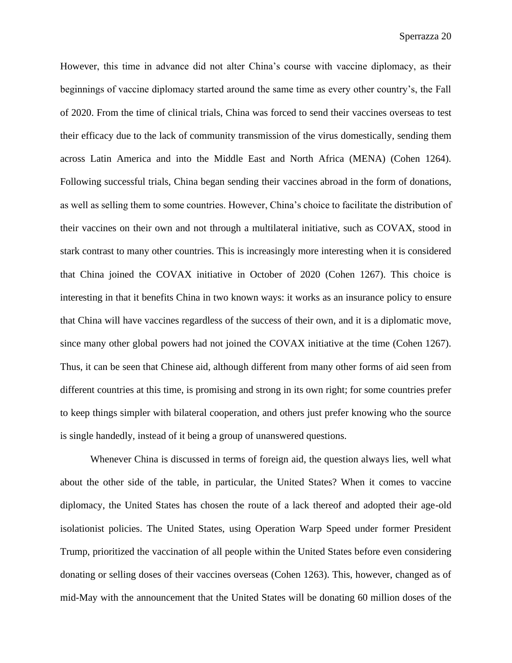However, this time in advance did not alter China's course with vaccine diplomacy, as their beginnings of vaccine diplomacy started around the same time as every other country's, the Fall of 2020. From the time of clinical trials, China was forced to send their vaccines overseas to test their efficacy due to the lack of community transmission of the virus domestically, sending them across Latin America and into the Middle East and North Africa (MENA) (Cohen 1264). Following successful trials, China began sending their vaccines abroad in the form of donations, as well as selling them to some countries. However, China's choice to facilitate the distribution of their vaccines on their own and not through a multilateral initiative, such as COVAX, stood in stark contrast to many other countries. This is increasingly more interesting when it is considered that China joined the COVAX initiative in October of 2020 (Cohen 1267). This choice is interesting in that it benefits China in two known ways: it works as an insurance policy to ensure that China will have vaccines regardless of the success of their own, and it is a diplomatic move, since many other global powers had not joined the COVAX initiative at the time (Cohen 1267). Thus, it can be seen that Chinese aid, although different from many other forms of aid seen from different countries at this time, is promising and strong in its own right; for some countries prefer to keep things simpler with bilateral cooperation, and others just prefer knowing who the source is single handedly, instead of it being a group of unanswered questions.

Whenever China is discussed in terms of foreign aid, the question always lies, well what about the other side of the table, in particular, the United States? When it comes to vaccine diplomacy, the United States has chosen the route of a lack thereof and adopted their age-old isolationist policies. The United States, using Operation Warp Speed under former President Trump, prioritized the vaccination of all people within the United States before even considering donating or selling doses of their vaccines overseas (Cohen 1263). This, however, changed as of mid-May with the announcement that the United States will be donating 60 million doses of the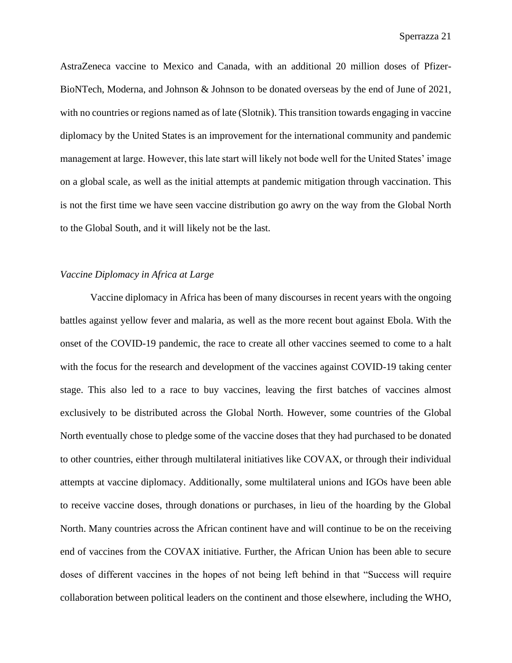AstraZeneca vaccine to Mexico and Canada, with an additional 20 million doses of Pfizer-BioNTech, Moderna, and Johnson & Johnson to be donated overseas by the end of June of 2021, with no countries or regions named as of late (Slotnik). This transition towards engaging in vaccine diplomacy by the United States is an improvement for the international community and pandemic management at large. However, this late start will likely not bode well for the United States' image on a global scale, as well as the initial attempts at pandemic mitigation through vaccination. This is not the first time we have seen vaccine distribution go awry on the way from the Global North to the Global South, and it will likely not be the last.

#### <span id="page-22-0"></span>*Vaccine Diplomacy in Africa at Large*

Vaccine diplomacy in Africa has been of many discourses in recent years with the ongoing battles against yellow fever and malaria, as well as the more recent bout against Ebola. With the onset of the COVID-19 pandemic, the race to create all other vaccines seemed to come to a halt with the focus for the research and development of the vaccines against COVID-19 taking center stage. This also led to a race to buy vaccines, leaving the first batches of vaccines almost exclusively to be distributed across the Global North. However, some countries of the Global North eventually chose to pledge some of the vaccine doses that they had purchased to be donated to other countries, either through multilateral initiatives like COVAX, or through their individual attempts at vaccine diplomacy. Additionally, some multilateral unions and IGOs have been able to receive vaccine doses, through donations or purchases, in lieu of the hoarding by the Global North. Many countries across the African continent have and will continue to be on the receiving end of vaccines from the COVAX initiative. Further, the African Union has been able to secure doses of different vaccines in the hopes of not being left behind in that "Success will require collaboration between political leaders on the continent and those elsewhere, including the WHO,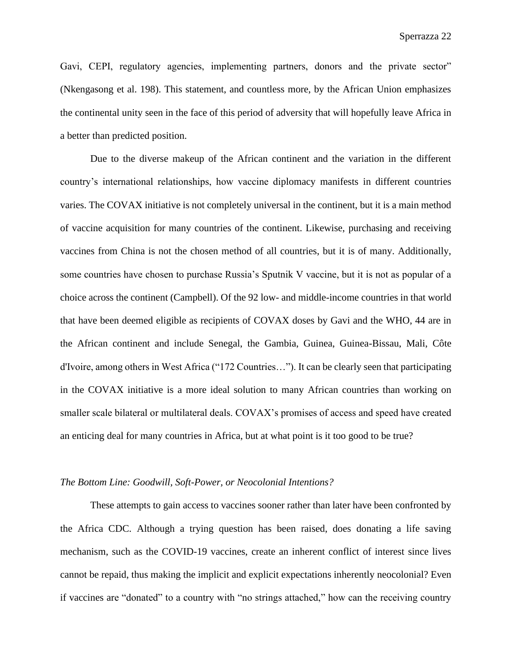Gavi, CEPI, regulatory agencies, implementing partners, donors and the private sector" (Nkengasong et al. 198). This statement, and countless more, by the African Union emphasizes the continental unity seen in the face of this period of adversity that will hopefully leave Africa in a better than predicted position.

Due to the diverse makeup of the African continent and the variation in the different country's international relationships, how vaccine diplomacy manifests in different countries varies. The COVAX initiative is not completely universal in the continent, but it is a main method of vaccine acquisition for many countries of the continent. Likewise, purchasing and receiving vaccines from China is not the chosen method of all countries, but it is of many. Additionally, some countries have chosen to purchase Russia's Sputnik V vaccine, but it is not as popular of a choice across the continent (Campbell). Of the 92 low- and middle-income countries in that world that have been deemed eligible as recipients of COVAX doses by Gavi and the WHO, 44 are in the African continent and include Senegal, the Gambia, Guinea, Guinea-Bissau, Mali, Côte d'Ivoire, among others in West Africa ("172 Countries…"). It can be clearly seen that participating in the COVAX initiative is a more ideal solution to many African countries than working on smaller scale bilateral or multilateral deals. COVAX's promises of access and speed have created an enticing deal for many countries in Africa, but at what point is it too good to be true?

#### <span id="page-23-0"></span>*The Bottom Line: Goodwill, Soft-Power, or Neocolonial Intentions?*

These attempts to gain access to vaccines sooner rather than later have been confronted by the Africa CDC. Although a trying question has been raised, does donating a life saving mechanism, such as the COVID-19 vaccines, create an inherent conflict of interest since lives cannot be repaid, thus making the implicit and explicit expectations inherently neocolonial? Even if vaccines are "donated" to a country with "no strings attached," how can the receiving country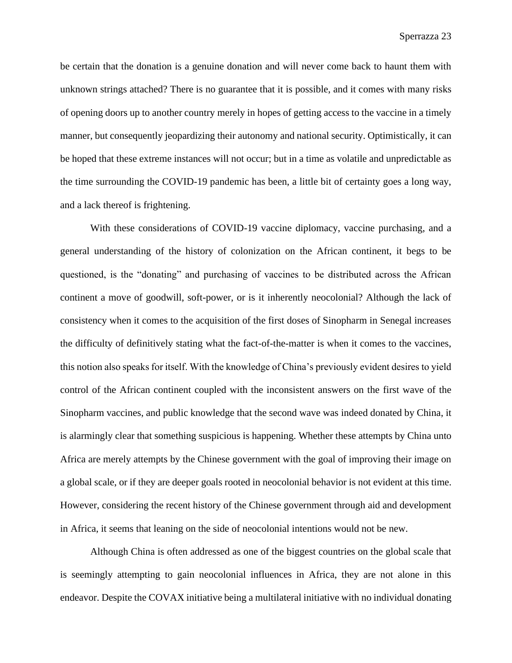be certain that the donation is a genuine donation and will never come back to haunt them with unknown strings attached? There is no guarantee that it is possible, and it comes with many risks of opening doors up to another country merely in hopes of getting access to the vaccine in a timely manner, but consequently jeopardizing their autonomy and national security. Optimistically, it can be hoped that these extreme instances will not occur; but in a time as volatile and unpredictable as the time surrounding the COVID-19 pandemic has been, a little bit of certainty goes a long way, and a lack thereof is frightening.

With these considerations of COVID-19 vaccine diplomacy, vaccine purchasing, and a general understanding of the history of colonization on the African continent, it begs to be questioned, is the "donating" and purchasing of vaccines to be distributed across the African continent a move of goodwill, soft-power, or is it inherently neocolonial? Although the lack of consistency when it comes to the acquisition of the first doses of Sinopharm in Senegal increases the difficulty of definitively stating what the fact-of-the-matter is when it comes to the vaccines, this notion also speaks for itself. With the knowledge of China's previously evident desires to yield control of the African continent coupled with the inconsistent answers on the first wave of the Sinopharm vaccines, and public knowledge that the second wave was indeed donated by China, it is alarmingly clear that something suspicious is happening. Whether these attempts by China unto Africa are merely attempts by the Chinese government with the goal of improving their image on a global scale, or if they are deeper goals rooted in neocolonial behavior is not evident at this time. However, considering the recent history of the Chinese government through aid and development in Africa, it seems that leaning on the side of neocolonial intentions would not be new.

Although China is often addressed as one of the biggest countries on the global scale that is seemingly attempting to gain neocolonial influences in Africa, they are not alone in this endeavor. Despite the COVAX initiative being a multilateral initiative with no individual donating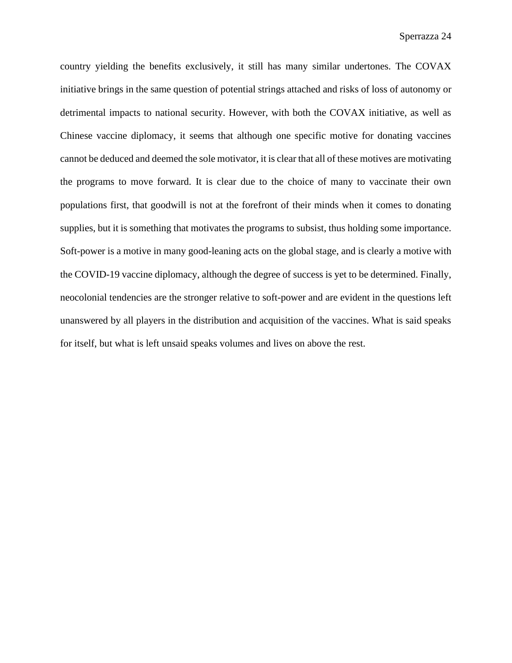country yielding the benefits exclusively, it still has many similar undertones. The COVAX initiative brings in the same question of potential strings attached and risks of loss of autonomy or detrimental impacts to national security. However, with both the COVAX initiative, as well as Chinese vaccine diplomacy, it seems that although one specific motive for donating vaccines cannot be deduced and deemed the sole motivator, it is clear that all of these motives are motivating the programs to move forward. It is clear due to the choice of many to vaccinate their own populations first, that goodwill is not at the forefront of their minds when it comes to donating supplies, but it is something that motivates the programs to subsist, thus holding some importance. Soft-power is a motive in many good-leaning acts on the global stage, and is clearly a motive with the COVID-19 vaccine diplomacy, although the degree of success is yet to be determined. Finally, neocolonial tendencies are the stronger relative to soft-power and are evident in the questions left unanswered by all players in the distribution and acquisition of the vaccines. What is said speaks for itself, but what is left unsaid speaks volumes and lives on above the rest.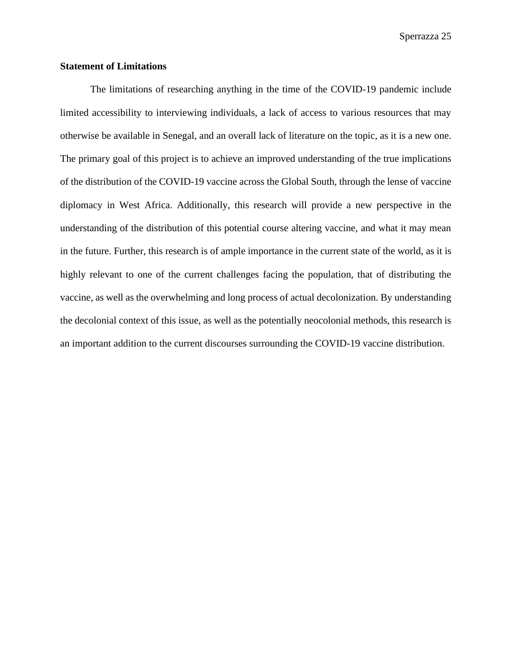#### <span id="page-26-0"></span>**Statement of Limitations**

The limitations of researching anything in the time of the COVID-19 pandemic include limited accessibility to interviewing individuals, a lack of access to various resources that may otherwise be available in Senegal, and an overall lack of literature on the topic, as it is a new one. The primary goal of this project is to achieve an improved understanding of the true implications of the distribution of the COVID-19 vaccine across the Global South, through the lense of vaccine diplomacy in West Africa. Additionally, this research will provide a new perspective in the understanding of the distribution of this potential course altering vaccine, and what it may mean in the future. Further, this research is of ample importance in the current state of the world, as it is highly relevant to one of the current challenges facing the population, that of distributing the vaccine, as well as the overwhelming and long process of actual decolonization. By understanding the decolonial context of this issue, as well as the potentially neocolonial methods, this research is an important addition to the current discourses surrounding the COVID-19 vaccine distribution.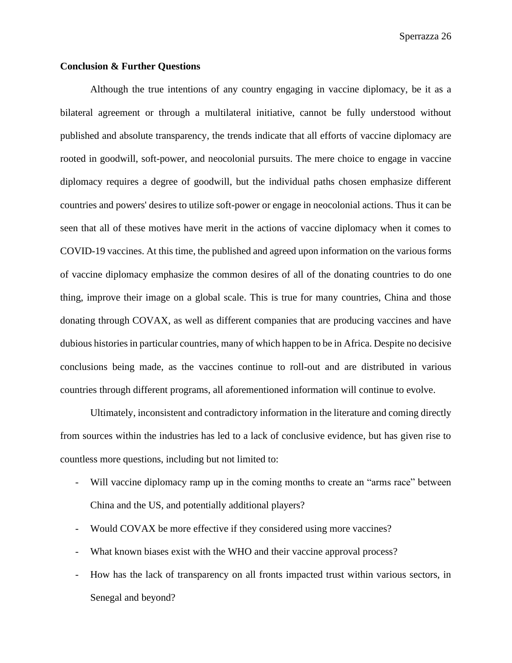#### <span id="page-27-0"></span>**Conclusion & Further Questions**

Although the true intentions of any country engaging in vaccine diplomacy, be it as a bilateral agreement or through a multilateral initiative, cannot be fully understood without published and absolute transparency, the trends indicate that all efforts of vaccine diplomacy are rooted in goodwill, soft-power, and neocolonial pursuits. The mere choice to engage in vaccine diplomacy requires a degree of goodwill, but the individual paths chosen emphasize different countries and powers' desires to utilize soft-power or engage in neocolonial actions. Thus it can be seen that all of these motives have merit in the actions of vaccine diplomacy when it comes to COVID-19 vaccines. At this time, the published and agreed upon information on the various forms of vaccine diplomacy emphasize the common desires of all of the donating countries to do one thing, improve their image on a global scale. This is true for many countries, China and those donating through COVAX, as well as different companies that are producing vaccines and have dubious histories in particular countries, many of which happen to be in Africa. Despite no decisive conclusions being made, as the vaccines continue to roll-out and are distributed in various countries through different programs, all aforementioned information will continue to evolve.

Ultimately, inconsistent and contradictory information in the literature and coming directly from sources within the industries has led to a lack of conclusive evidence, but has given rise to countless more questions, including but not limited to:

- Will vaccine diplomacy ramp up in the coming months to create an "arms race" between China and the US, and potentially additional players?
- Would COVAX be more effective if they considered using more vaccines?
- What known biases exist with the WHO and their vaccine approval process?
- How has the lack of transparency on all fronts impacted trust within various sectors, in Senegal and beyond?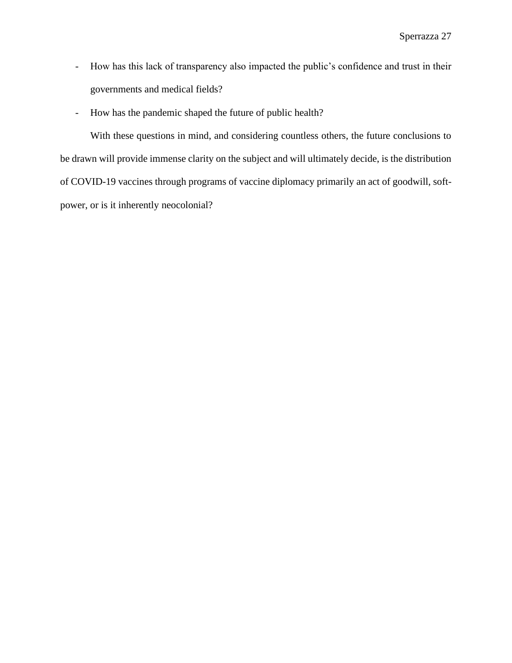- How has this lack of transparency also impacted the public's confidence and trust in their governments and medical fields?
- How has the pandemic shaped the future of public health?

With these questions in mind, and considering countless others, the future conclusions to be drawn will provide immense clarity on the subject and will ultimately decide, is the distribution of COVID-19 vaccines through programs of vaccine diplomacy primarily an act of goodwill, softpower, or is it inherently neocolonial?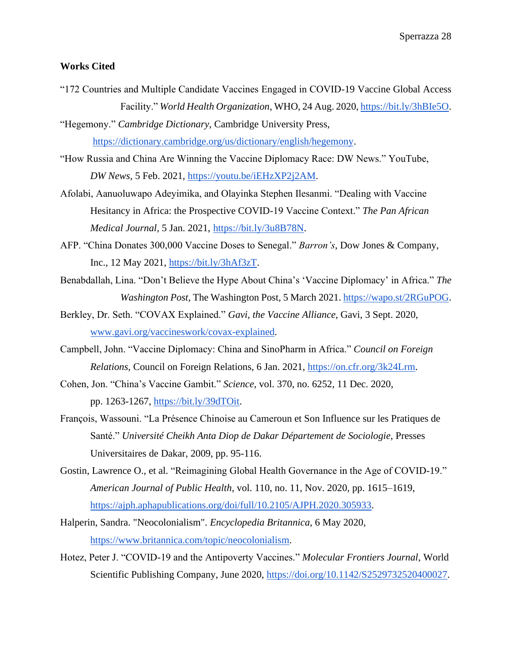### <span id="page-29-0"></span>**Works Cited**

- "172 Countries and Multiple Candidate Vaccines Engaged in COVID-19 Vaccine Global Access Facility." *World Health Organization*, WHO, 24 Aug. 2020[, https://bit.ly/3hBIe5O.](https://bit.ly/3hBIe5O)
- "Hegemony." *Cambridge Dictionary*, Cambridge University Press, [https://dictionary.cambridge.org/us/dictionary/english/hegemony.](https://dictionary.cambridge.org/us/dictionary/english/hegemony)
- "How Russia and China Are Winning the Vaccine Diplomacy Race: DW News." YouTube, *DW News*, 5 Feb. 2021, [https://youtu.be/iEHzXP2j2AM.](https://youtu.be/iEHzXP2j2AM)
- Afolabi, Aanuoluwapo Adeyimika, and Olayinka Stephen Ilesanmi. "Dealing with Vaccine Hesitancy in Africa: the Prospective COVID-19 Vaccine Context." *The Pan African Medical Journal*, 5 Jan. 2021, [https://bit.ly/3u8B78N.](https://bit.ly/3u8B78N)
- AFP. "China Donates 300,000 Vaccine Doses to Senegal." *Barron's*, Dow Jones & Company, Inc., 12 May 2021, [https://bit.ly/3hAf3zT.](https://bit.ly/3hAf3zT)
- Benabdallah, Lina. "Don't Believe the Hype About China's 'Vaccine Diplomacy' in Africa." *The Washington Post*, The Washington Post, 5 March 2021[. https://wapo.st/2RGuPOG.](https://wapo.st/2RGuPOG)
- Berkley, Dr. Seth. "COVAX Explained." *Gavi, the Vaccine Alliance*, Gavi, 3 Sept. 2020, [www.gavi.org/vaccineswork/covax-explained.](http://www.gavi.org/vaccineswork/covax-explained)
- Campbell, John. "Vaccine Diplomacy: China and SinoPharm in Africa." *Council on Foreign Relations*, Council on Foreign Relations, 6 Jan. 2021, [https://on.cfr.org/3k24Lrm.](https://on.cfr.org/3k24Lrm)
- Cohen, Jon. "China's Vaccine Gambit." *Science*, vol. 370, no. 6252, 11 Dec. 2020, pp. 1263-1267, [https://bit.ly/39dTOit.](https://bit.ly/39dTOit)
- François, Wassouni. "La Présence Chinoise au Cameroun et Son Influence sur les Pratiques de Santé." *Université Cheikh Anta Diop de Dakar Département de Sociologie*, Presses Universitaires de Dakar, 2009, pp. 95-116.
- Gostin, Lawrence O., et al. "Reimagining Global Health Governance in the Age of COVID-19." *American Journal of Public Health*, vol. 110, no. 11, Nov. 2020, pp. 1615–1619, [https://ajph.aphapublications.org/doi/full/10.2105/AJPH.2020.305933.](https://ajph.aphapublications.org/doi/full/10.2105/AJPH.2020.305933)
- Halperin, Sandra. "Neocolonialism". *Encyclopedia Britannica*, 6 May 2020, [https://www.britannica.com/topic/neocolonialism.](https://www.britannica.com/topic/neocolonialism)
- Hotez, Peter J. "COVID-19 and the Antipoverty Vaccines." *Molecular Frontiers Journal*, World Scientific Publishing Company, June 2020, [https://doi.org/10.1142/S2529732520400027.](https://doi.org/10.1142/S2529732520400027)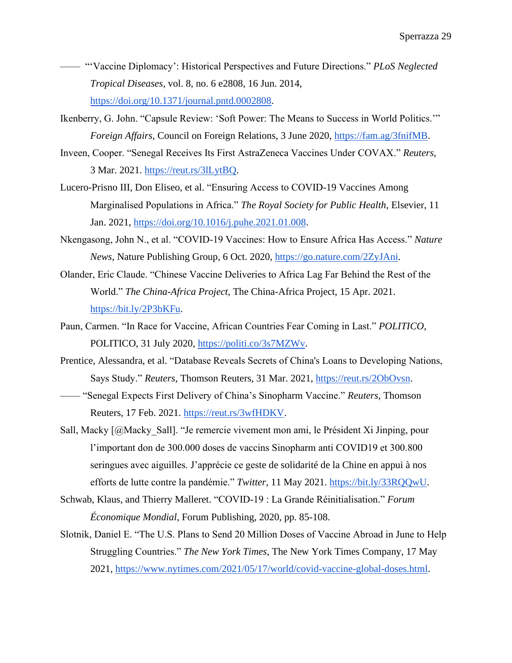- —— "'Vaccine Diplomacy': Historical Perspectives and Future Directions." *PLoS Neglected Tropical Diseases*, vol. 8, no. 6 e2808, 16 Jun. 2014, [https://doi.org/10.1371/journal.pntd.0002808.](about:blank)
- Ikenberry, G. John. "Capsule Review: 'Soft Power: The Means to Success in World Politics.'" *Foreign Affairs*, Council on Foreign Relations, 3 June 2020, [https://fam.ag/3fnifMB.](https://fam.ag/3fnifMB)
- Inveen, Cooper. "Senegal Receives Its First AstraZeneca Vaccines Under COVAX." *Reuters*, 3 Mar. 2021. [https://reut.rs/3lLytBQ.](https://reut.rs/3lLytBQ)
- Lucero-Prisno III, Don Eliseo, et al. "Ensuring Access to COVID-19 Vaccines Among Marginalised Populations in Africa." *The Royal Society for Public Health*, Elsevier, 11 Jan. 2021, [https://doi.org/10.1016/j.puhe.2021.01.008.](https://doi.org/10.1016/j.puhe.2021.01.008)
- Nkengasong, John N., et al. "COVID-19 Vaccines: How to Ensure Africa Has Access." *Nature News*, Nature Publishing Group, 6 Oct. 2020, [https://go.nature.com/2ZyJAni.](https://go.nature.com/2ZyJAni)
- Olander, Eric Claude. "Chinese Vaccine Deliveries to Africa Lag Far Behind the Rest of the World." *The China-Africa Project*, The China-Africa Project, 15 Apr. 2021. [https://bit.ly/2P3bKFu.](https://bit.ly/2P3bKFu)
- Paun, Carmen. "In Race for Vaccine, African Countries Fear Coming in Last." *POLITICO*, POLITICO, 31 July 2020, [https://politi.co/3s7MZWv.](https://politi.co/3s7MZWv)
- Prentice, Alessandra, et al. "Database Reveals Secrets of China's Loans to Developing Nations, Says Study." *Reuters*, Thomson Reuters, 31 Mar. 2021, [https://reut.rs/2ObOvsn.](https://reut.rs/2ObOvsn)
- —— "Senegal Expects First Delivery of China's Sinopharm Vaccine." *Reuters*, Thomson Reuters, 17 Feb. 2021. [https://reut.rs/3wfHDKV.](https://reut.rs/3wfHDKV)
- Sall, Macky [@Macky\_Sall]. "Je remercie vivement mon ami, le Président Xi Jinping, pour l'important don de 300.000 doses de vaccins Sinopharm anti COVID19 et 300.800 seringues avec aiguilles. J'apprécie ce geste de solidarité de la Chine en appui à nos efforts de lutte contre la pandémie." *Twitter*, 11 May 2021. [https://bit.ly/33RQQwU.](https://bit.ly/33RQQwU)
- Schwab, Klaus, and Thierry Malleret. "COVID-19 : La Grande Réinitialisation." *Forum Économique Mondial*, Forum Publishing, 2020, pp. 85-108.
- Slotnik, Daniel E. "The U.S. Plans to Send 20 Million Doses of Vaccine Abroad in June to Help Struggling Countries." *The New York Times*, The New York Times Company, 17 May 2021, [https://www.nytimes.com/2021/05/17/world/covid-vaccine-global-doses.html.](https://www.nytimes.com/2021/05/17/world/covid-vaccine-global-doses.html)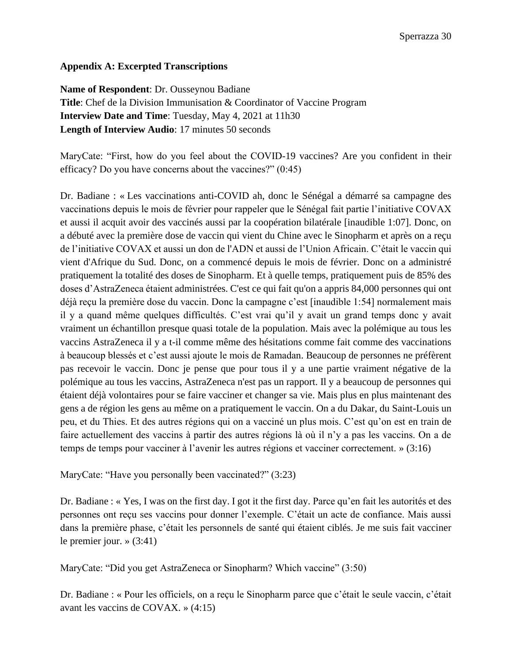## <span id="page-31-0"></span>**Appendix A: Excerpted Transcriptions**

<span id="page-31-1"></span>**Name of Respondent**: Dr. Ousseynou Badiane **Title**: Chef de la Division Immunisation & Coordinator of Vaccine Program **Interview Date and Time**: Tuesday, May 4, 2021 at 11h30 **Length of Interview Audio**: 17 minutes 50 seconds

MaryCate: "First, how do you feel about the COVID-19 vaccines? Are you confident in their efficacy? Do you have concerns about the vaccines?" (0:45)

Dr. Badiane : « Les vaccinations anti-COVID ah, donc le Sénégal a démarré sa campagne des vaccinations depuis le mois de février pour rappeler que le Sénégal fait partie l'initiative COVAX et aussi il acquit avoir des vaccinés aussi par la coopération bilatérale [inaudible 1:07]. Donc, on a débuté avec la première dose de vaccin qui vient du Chine avec le Sinopharm et après on a reçu de l'initiative COVAX et aussi un don de l'ADN et aussi de l'Union Africain. C'était le vaccin qui vient d'Afrique du Sud. Donc, on a commencé depuis le mois de février. Donc on a administré pratiquement la totalité des doses de Sinopharm. Et à quelle temps, pratiquement puis de 85% des doses d'AstraZeneca étaient administrées. C'est ce qui fait qu'on a appris 84,000 personnes qui ont déjà reçu la première dose du vaccin. Donc la campagne c'est [inaudible 1:54] normalement mais il y a quand même quelques difficultés. C'est vrai qu'il y avait un grand temps donc y avait vraiment un échantillon presque quasi totale de la population. Mais avec la polémique au tous les vaccins AstraZeneca il y a t-il comme même des hésitations comme fait comme des vaccinations à beaucoup blessés et c'est aussi ajoute le mois de Ramadan. Beaucoup de personnes ne préfèrent pas recevoir le vaccin. Donc je pense que pour tous il y a une partie vraiment négative de la polémique au tous les vaccins, AstraZeneca n'est pas un rapport. Il y a beaucoup de personnes qui étaient déjà volontaires pour se faire vacciner et changer sa vie. Mais plus en plus maintenant des gens a de région les gens au même on a pratiquement le vaccin. On a du Dakar, du Saint-Louis un peu, et du Thies. Et des autres régions qui on a vacciné un plus mois. C'est qu'on est en train de faire actuellement des vaccins à partir des autres régions là où il n'y a pas les vaccins. On a de temps de temps pour vacciner à l'avenir les autres régions et vacciner correctement. » (3:16)

MaryCate: "Have you personally been vaccinated?" (3:23)

Dr. Badiane : « Yes, I was on the first day. I got it the first day. Parce qu'en fait les autorités et des personnes ont reçu ses vaccins pour donner l'exemple. C'était un acte de confiance. Mais aussi dans la première phase, c'était les personnels de santé qui étaient ciblés. Je me suis fait vacciner le premier jour. » (3:41)

MaryCate: "Did you get AstraZeneca or Sinopharm? Which vaccine" (3:50)

Dr. Badiane : « Pour les officiels, on a reçu le Sinopharm parce que c'était le seule vaccin, c'était avant les vaccins de COVAX. » (4:15)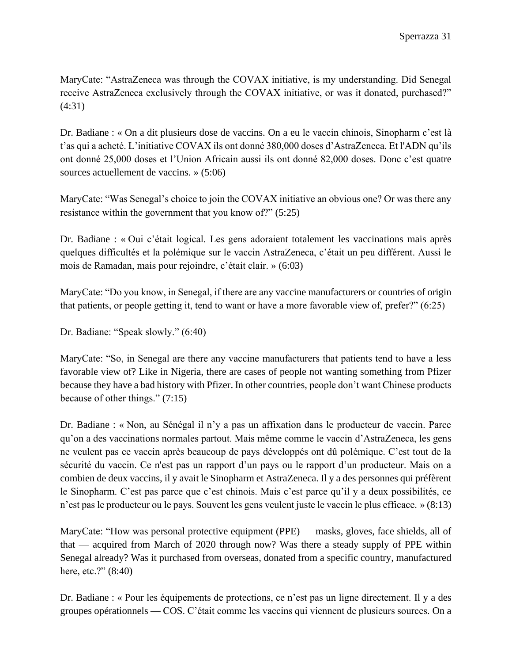MaryCate: "AstraZeneca was through the COVAX initiative, is my understanding. Did Senegal receive AstraZeneca exclusively through the COVAX initiative, or was it donated, purchased?" (4:31)

Dr. Badiane : « On a dit plusieurs dose de vaccins. On a eu le vaccin chinois, Sinopharm c'est là t'as qui a acheté. L'initiative COVAX ils ont donné 380,000 doses d'AstraZeneca. Et l'ADN qu'ils ont donné 25,000 doses et l'Union Africain aussi ils ont donné 82,000 doses. Donc c'est quatre sources actuellement de vaccins. » (5:06)

MaryCate: "Was Senegal's choice to join the COVAX initiative an obvious one? Or was there any resistance within the government that you know of?" (5:25)

Dr. Badiane : « Oui c'était logical. Les gens adoraient totalement les vaccinations mais après quelques difficultés et la polémique sur le vaccin AstraZeneca, c'était un peu différent. Aussi le mois de Ramadan, mais pour rejoindre, c'était clair. » (6:03)

MaryCate: "Do you know, in Senegal, if there are any vaccine manufacturers or countries of origin that patients, or people getting it, tend to want or have a more favorable view of, prefer?" (6:25)

Dr. Badiane: "Speak slowly." (6:40)

MaryCate: "So, in Senegal are there any vaccine manufacturers that patients tend to have a less favorable view of? Like in Nigeria, there are cases of people not wanting something from Pfizer because they have a bad history with Pfizer. In other countries, people don't want Chinese products because of other things." (7:15)

Dr. Badiane : « Non, au Sénégal il n'y a pas un affixation dans le producteur de vaccin. Parce qu'on a des vaccinations normales partout. Mais même comme le vaccin d'AstraZeneca, les gens ne veulent pas ce vaccin après beaucoup de pays développés ont dû polémique. C'est tout de la sécurité du vaccin. Ce n'est pas un rapport d'un pays ou le rapport d'un producteur. Mais on a combien de deux vaccins, il y avait le Sinopharm et AstraZeneca. Il y a des personnes qui préfèrent le Sinopharm. C'est pas parce que c'est chinois. Mais c'est parce qu'il y a deux possibilités, ce n'est pas le producteur ou le pays. Souvent les gens veulent juste le vaccin le plus efficace. » (8:13)

MaryCate: "How was personal protective equipment (PPE) — masks, gloves, face shields, all of that — acquired from March of 2020 through now? Was there a steady supply of PPE within Senegal already? Was it purchased from overseas, donated from a specific country, manufactured here, etc.?" (8:40)

Dr. Badiane : « Pour les équipements de protections, ce n'est pas un ligne directement. Il y a des groupes opérationnels — COS. C'était comme les vaccins qui viennent de plusieurs sources. On a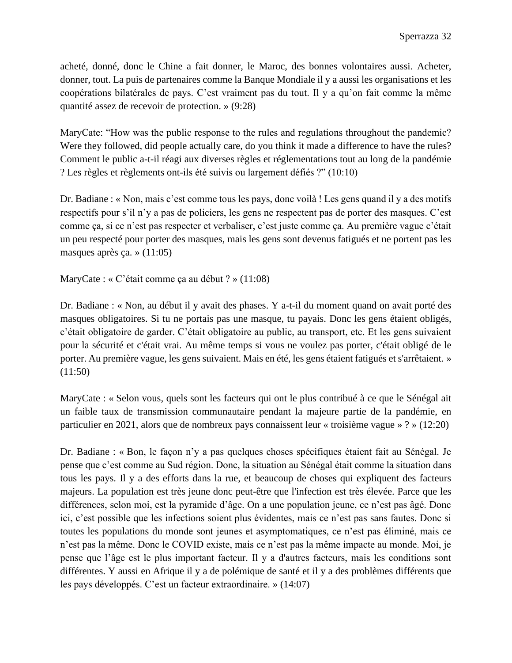acheté, donné, donc le Chine a fait donner, le Maroc, des bonnes volontaires aussi. Acheter, donner, tout. La puis de partenaires comme la Banque Mondiale il y a aussi les organisations et les coopérations bilatérales de pays. C'est vraiment pas du tout. Il y a qu'on fait comme la même quantité assez de recevoir de protection. » (9:28)

MaryCate: "How was the public response to the rules and regulations throughout the pandemic? Were they followed, did people actually care, do you think it made a difference to have the rules? Comment le public a-t-il réagi aux diverses règles et réglementations tout au long de la pandémie ? Les règles et règlements ont-ils été suivis ou largement défiés ?" (10:10)

Dr. Badiane : « Non, mais c'est comme tous les pays, donc voilà ! Les gens quand il y a des motifs respectifs pour s'il n'y a pas de policiers, les gens ne respectent pas de porter des masques. C'est comme ça, si ce n'est pas respecter et verbaliser, c'est juste comme ça. Au première vague c'était un peu respecté pour porter des masques, mais les gens sont devenus fatigués et ne portent pas les masques après ça. » (11:05)

MaryCate : « C'était comme ça au début ? » (11:08)

Dr. Badiane : « Non, au début il y avait des phases. Y a-t-il du moment quand on avait porté des masques obligatoires. Si tu ne portais pas une masque, tu payais. Donc les gens étaient obligés, c'était obligatoire de garder. C'était obligatoire au public, au transport, etc. Et les gens suivaient pour la sécurité et c'était vrai. Au même temps si vous ne voulez pas porter, c'était obligé de le porter. Au première vague, les gens suivaient. Mais en été, les gens étaient fatigués et s'arrêtaient. » (11:50)

MaryCate : « Selon vous, quels sont les facteurs qui ont le plus contribué à ce que le Sénégal ait un faible taux de transmission communautaire pendant la majeure partie de la pandémie, en particulier en 2021, alors que de nombreux pays connaissent leur « troisième vague » ? » (12:20)

Dr. Badiane : « Bon, le façon n'y a pas quelques choses spécifiques étaient fait au Sénégal. Je pense que c'est comme au Sud région. Donc, la situation au Sénégal était comme la situation dans tous les pays. Il y a des efforts dans la rue, et beaucoup de choses qui expliquent des facteurs majeurs. La population est très jeune donc peut-être que l'infection est très élevée. Parce que les différences, selon moi, est la pyramide d'âge. On a une population jeune, ce n'est pas âgé. Donc ici, c'est possible que les infections soient plus évidentes, mais ce n'est pas sans fautes. Donc si toutes les populations du monde sont jeunes et asymptomatiques, ce n'est pas éliminé, mais ce n'est pas la même. Donc le COVID existe, mais ce n'est pas la même impacte au monde. Moi, je pense que l'âge est le plus important facteur. Il y a d'autres facteurs, mais les conditions sont différentes. Y aussi en Afrique il y a de polémique de santé et il y a des problèmes différents que les pays développés. C'est un facteur extraordinaire. » (14:07)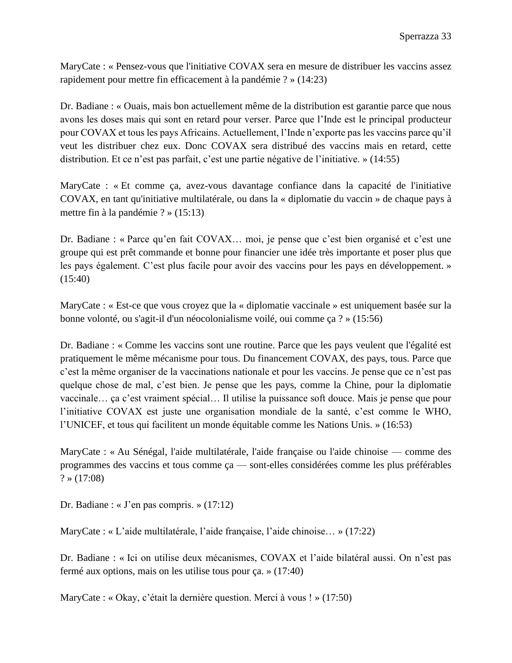MaryCate : « Pensez-vous que l'initiative COVAX sera en mesure de distribuer les vaccins assez rapidement pour mettre fin efficacement à la pandémie ? » (14:23)

Dr. Badiane : « Ouais, mais bon actuellement même de la distribution est garantie parce que nous avons les doses mais qui sont en retard pour verser. Parce que l'Inde est le principal producteur pour COVAX et tous les pays Africains. Actuellement, l'Inde n'exporte pas les vaccins parce qu'il veut les distribuer chez eux. Donc COVAX sera distribué des vaccins mais en retard, cette distribution. Et ce n'est pas parfait, c'est une partie négative de l'initiative. » (14:55)

MaryCate : « Et comme ça, avez-vous davantage confiance dans la capacité de l'initiative COVAX, en tant qu'initiative multilatérale, ou dans la « diplomatie du vaccin » de chaque pays à mettre fin à la pandémie ? » (15:13)

Dr. Badiane : « Parce qu'en fait COVAX… moi, je pense que c'est bien organisé et c'est une groupe qui est prêt commande et bonne pour financier une idée très importante et poser plus que les pays également. C'est plus facile pour avoir des vaccins pour les pays en développement. » (15:40)

MaryCate : « Est-ce que vous croyez que la « diplomatie vaccinale » est uniquement basée sur la bonne volonté, ou s'agit-il d'un néocolonialisme voilé, oui comme ça ? » (15:56)

Dr. Badiane : « Comme les vaccins sont une routine. Parce que les pays veulent que l'égalité est pratiquement le même mécanisme pour tous. Du financement COVAX, des pays, tous. Parce que c'est la même organiser de la vaccinations nationale et pour les vaccins. Je pense que ce n'est pas quelque chose de mal, c'est bien. Je pense que les pays, comme la Chine, pour la diplomatie vaccinale… ça c'est vraiment spécial… Il utilise la puissance soft douce. Mais je pense que pour l'initiative COVAX est juste une organisation mondiale de la santé, c'est comme le WHO, l'UNICEF, et tous qui facilitent un monde équitable comme les Nations Unis. » (16:53)

MaryCate : « Au Sénégal, l'aide multilatérale, l'aide française ou l'aide chinoise — comme des programmes des vaccins et tous comme ça — sont-elles considérées comme les plus préférables  $? \times (17:08)$ 

Dr. Badiane : « J'en pas compris. » (17:12)

MaryCate : « L'aide multilatérale, l'aide française, l'aide chinoise… » (17:22)

Dr. Badiane : « Ici on utilise deux mécanismes, COVAX et l'aide bilatéral aussi. On n'est pas fermé aux options, mais on les utilise tous pour ça. » (17:40)

MaryCate : « Okay, c'était la dernière question. Merci à vous ! » (17:50)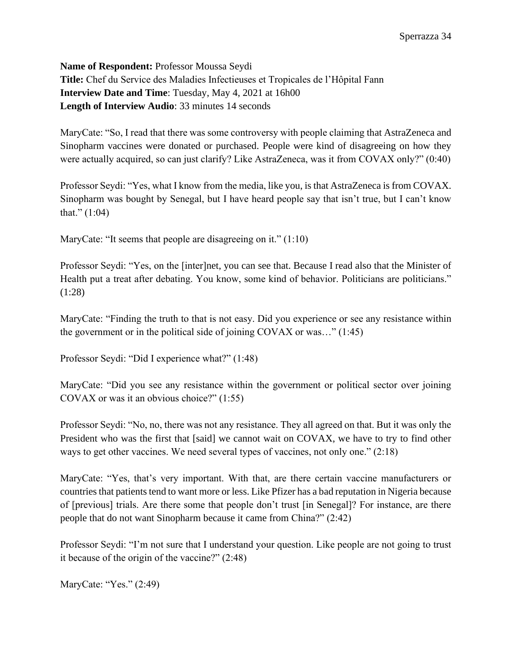<span id="page-35-0"></span>**Name of Respondent:** Professor Moussa Seydi **Title:** Chef du Service des Maladies Infectieuses et Tropicales de l'Hôpital Fann **Interview Date and Time**: Tuesday, May 4, 2021 at 16h00 **Length of Interview Audio**: 33 minutes 14 seconds

MaryCate: "So, I read that there was some controversy with people claiming that AstraZeneca and Sinopharm vaccines were donated or purchased. People were kind of disagreeing on how they were actually acquired, so can just clarify? Like AstraZeneca, was it from COVAX only?" (0:40)

Professor Seydi: "Yes, what I know from the media, like you, is that AstraZeneca is from COVAX. Sinopharm was bought by Senegal, but I have heard people say that isn't true, but I can't know that."  $(1:04)$ 

MaryCate: "It seems that people are disagreeing on it." (1:10)

Professor Seydi: "Yes, on the [inter]net, you can see that. Because I read also that the Minister of Health put a treat after debating. You know, some kind of behavior. Politicians are politicians." (1:28)

MaryCate: "Finding the truth to that is not easy. Did you experience or see any resistance within the government or in the political side of joining COVAX or was…" (1:45)

Professor Seydi: "Did I experience what?" (1:48)

MaryCate: "Did you see any resistance within the government or political sector over joining COVAX or was it an obvious choice?" (1:55)

Professor Seydi: "No, no, there was not any resistance. They all agreed on that. But it was only the President who was the first that [said] we cannot wait on COVAX, we have to try to find other ways to get other vaccines. We need several types of vaccines, not only one." (2:18)

MaryCate: "Yes, that's very important. With that, are there certain vaccine manufacturers or countries that patients tend to want more or less. Like Pfizer has a bad reputation in Nigeria because of [previous] trials. Are there some that people don't trust [in Senegal]? For instance, are there people that do not want Sinopharm because it came from China?" (2:42)

Professor Seydi: "I'm not sure that I understand your question. Like people are not going to trust it because of the origin of the vaccine?" (2:48)

MaryCate: "Yes." (2:49)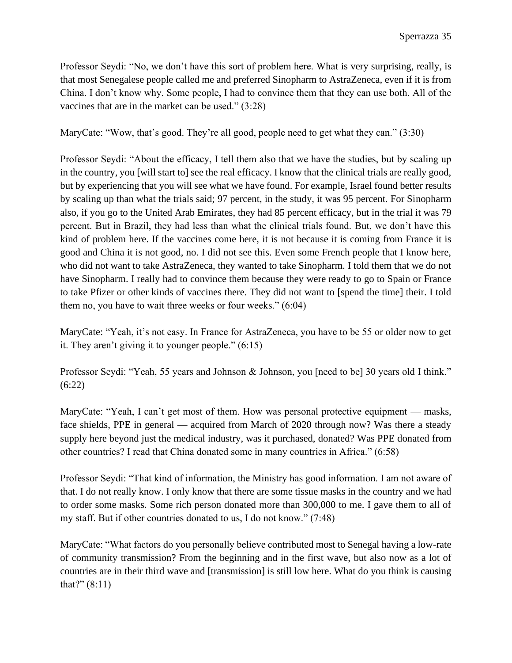Professor Seydi: "No, we don't have this sort of problem here. What is very surprising, really, is that most Senegalese people called me and preferred Sinopharm to AstraZeneca, even if it is from China. I don't know why. Some people, I had to convince them that they can use both. All of the vaccines that are in the market can be used." (3:28)

MaryCate: "Wow, that's good. They're all good, people need to get what they can." (3:30)

Professor Seydi: "About the efficacy, I tell them also that we have the studies, but by scaling up in the country, you [will start to] see the real efficacy. I know that the clinical trials are really good, but by experiencing that you will see what we have found. For example, Israel found better results by scaling up than what the trials said; 97 percent, in the study, it was 95 percent. For Sinopharm also, if you go to the United Arab Emirates, they had 85 percent efficacy, but in the trial it was 79 percent. But in Brazil, they had less than what the clinical trials found. But, we don't have this kind of problem here. If the vaccines come here, it is not because it is coming from France it is good and China it is not good, no. I did not see this. Even some French people that I know here, who did not want to take AstraZeneca, they wanted to take Sinopharm. I told them that we do not have Sinopharm. I really had to convince them because they were ready to go to Spain or France to take Pfizer or other kinds of vaccines there. They did not want to [spend the time] their. I told them no, you have to wait three weeks or four weeks." (6:04)

MaryCate: "Yeah, it's not easy. In France for AstraZeneca, you have to be 55 or older now to get it. They aren't giving it to younger people." (6:15)

Professor Seydi: "Yeah, 55 years and Johnson & Johnson, you [need to be] 30 years old I think." (6:22)

MaryCate: "Yeah, I can't get most of them. How was personal protective equipment — masks, face shields, PPE in general — acquired from March of 2020 through now? Was there a steady supply here beyond just the medical industry, was it purchased, donated? Was PPE donated from other countries? I read that China donated some in many countries in Africa." (6:58)

Professor Seydi: "That kind of information, the Ministry has good information. I am not aware of that. I do not really know. I only know that there are some tissue masks in the country and we had to order some masks. Some rich person donated more than 300,000 to me. I gave them to all of my staff. But if other countries donated to us, I do not know." (7:48)

MaryCate: "What factors do you personally believe contributed most to Senegal having a low-rate of community transmission? From the beginning and in the first wave, but also now as a lot of countries are in their third wave and [transmission] is still low here. What do you think is causing that?" (8:11)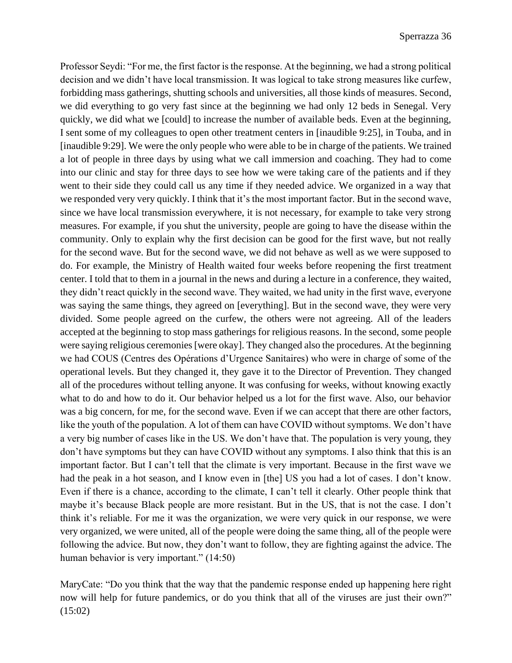Professor Seydi: "For me, the first factor is the response. At the beginning, we had a strong political decision and we didn't have local transmission. It was logical to take strong measures like curfew, forbidding mass gatherings, shutting schools and universities, all those kinds of measures. Second, we did everything to go very fast since at the beginning we had only 12 beds in Senegal. Very quickly, we did what we [could] to increase the number of available beds. Even at the beginning, I sent some of my colleagues to open other treatment centers in [inaudible 9:25], in Touba, and in [inaudible 9:29]. We were the only people who were able to be in charge of the patients. We trained a lot of people in three days by using what we call immersion and coaching. They had to come into our clinic and stay for three days to see how we were taking care of the patients and if they went to their side they could call us any time if they needed advice. We organized in a way that we responded very very quickly. I think that it's the most important factor. But in the second wave, since we have local transmission everywhere, it is not necessary, for example to take very strong measures. For example, if you shut the university, people are going to have the disease within the community. Only to explain why the first decision can be good for the first wave, but not really for the second wave. But for the second wave, we did not behave as well as we were supposed to do. For example, the Ministry of Health waited four weeks before reopening the first treatment center. I told that to them in a journal in the news and during a lecture in a conference, they waited, they didn't react quickly in the second wave. They waited, we had unity in the first wave, everyone was saying the same things, they agreed on [everything]. But in the second wave, they were very divided. Some people agreed on the curfew, the others were not agreeing. All of the leaders accepted at the beginning to stop mass gatherings for religious reasons. In the second, some people were saying religious ceremonies [were okay]. They changed also the procedures. At the beginning we had COUS (Centres des Opérations d'Urgence Sanitaires) who were in charge of some of the operational levels. But they changed it, they gave it to the Director of Prevention. They changed all of the procedures without telling anyone. It was confusing for weeks, without knowing exactly what to do and how to do it. Our behavior helped us a lot for the first wave. Also, our behavior was a big concern, for me, for the second wave. Even if we can accept that there are other factors, like the youth of the population. A lot of them can have COVID without symptoms. We don't have a very big number of cases like in the US. We don't have that. The population is very young, they don't have symptoms but they can have COVID without any symptoms. I also think that this is an important factor. But I can't tell that the climate is very important. Because in the first wave we had the peak in a hot season, and I know even in [the] US you had a lot of cases. I don't know. Even if there is a chance, according to the climate, I can't tell it clearly. Other people think that maybe it's because Black people are more resistant. But in the US, that is not the case. I don't think it's reliable. For me it was the organization, we were very quick in our response, we were very organized, we were united, all of the people were doing the same thing, all of the people were following the advice. But now, they don't want to follow, they are fighting against the advice. The human behavior is very important." (14:50)

MaryCate: "Do you think that the way that the pandemic response ended up happening here right now will help for future pandemics, or do you think that all of the viruses are just their own?" (15:02)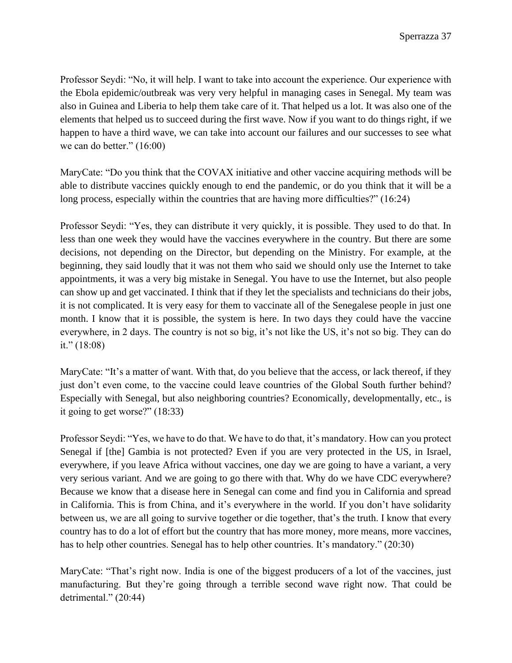Professor Seydi: "No, it will help. I want to take into account the experience. Our experience with the Ebola epidemic/outbreak was very very helpful in managing cases in Senegal. My team was also in Guinea and Liberia to help them take care of it. That helped us a lot. It was also one of the elements that helped us to succeed during the first wave. Now if you want to do things right, if we happen to have a third wave, we can take into account our failures and our successes to see what we can do better." (16:00)

MaryCate: "Do you think that the COVAX initiative and other vaccine acquiring methods will be able to distribute vaccines quickly enough to end the pandemic, or do you think that it will be a long process, especially within the countries that are having more difficulties?" (16:24)

Professor Seydi: "Yes, they can distribute it very quickly, it is possible. They used to do that. In less than one week they would have the vaccines everywhere in the country. But there are some decisions, not depending on the Director, but depending on the Ministry. For example, at the beginning, they said loudly that it was not them who said we should only use the Internet to take appointments, it was a very big mistake in Senegal. You have to use the Internet, but also people can show up and get vaccinated. I think that if they let the specialists and technicians do their jobs, it is not complicated. It is very easy for them to vaccinate all of the Senegalese people in just one month. I know that it is possible, the system is here. In two days they could have the vaccine everywhere, in 2 days. The country is not so big, it's not like the US, it's not so big. They can do it." (18:08)

MaryCate: "It's a matter of want. With that, do you believe that the access, or lack thereof, if they just don't even come, to the vaccine could leave countries of the Global South further behind? Especially with Senegal, but also neighboring countries? Economically, developmentally, etc., is it going to get worse?" (18:33)

Professor Seydi: "Yes, we have to do that. We have to do that, it's mandatory. How can you protect Senegal if [the] Gambia is not protected? Even if you are very protected in the US, in Israel, everywhere, if you leave Africa without vaccines, one day we are going to have a variant, a very very serious variant. And we are going to go there with that. Why do we have CDC everywhere? Because we know that a disease here in Senegal can come and find you in California and spread in California. This is from China, and it's everywhere in the world. If you don't have solidarity between us, we are all going to survive together or die together, that's the truth. I know that every country has to do a lot of effort but the country that has more money, more means, more vaccines, has to help other countries. Senegal has to help other countries. It's mandatory." (20:30)

MaryCate: "That's right now. India is one of the biggest producers of a lot of the vaccines, just manufacturing. But they're going through a terrible second wave right now. That could be detrimental." (20:44)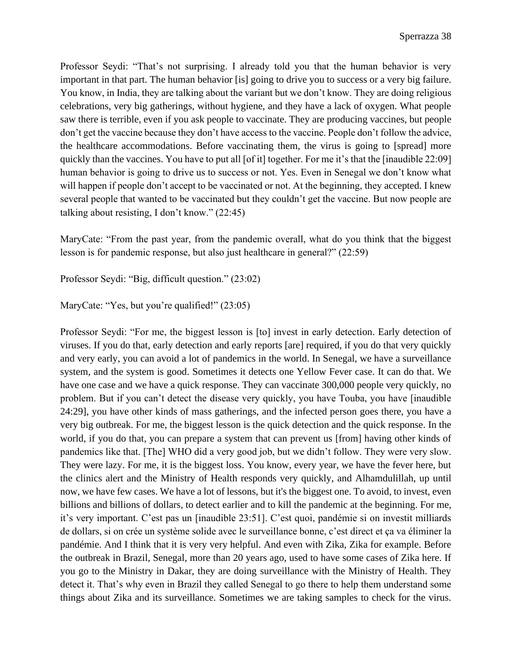Professor Seydi: "That's not surprising. I already told you that the human behavior is very important in that part. The human behavior [is] going to drive you to success or a very big failure. You know, in India, they are talking about the variant but we don't know. They are doing religious celebrations, very big gatherings, without hygiene, and they have a lack of oxygen. What people saw there is terrible, even if you ask people to vaccinate. They are producing vaccines, but people don't get the vaccine because they don't have access to the vaccine. People don't follow the advice, the healthcare accommodations. Before vaccinating them, the virus is going to [spread] more quickly than the vaccines. You have to put all [of it] together. For me it's that the [inaudible 22:09] human behavior is going to drive us to success or not. Yes. Even in Senegal we don't know what will happen if people don't accept to be vaccinated or not. At the beginning, they accepted. I knew several people that wanted to be vaccinated but they couldn't get the vaccine. But now people are talking about resisting, I don't know." (22:45)

MaryCate: "From the past year, from the pandemic overall, what do you think that the biggest lesson is for pandemic response, but also just healthcare in general?" (22:59)

Professor Seydi: "Big, difficult question." (23:02)

MaryCate: "Yes, but you're qualified!" (23:05)

Professor Seydi: "For me, the biggest lesson is [to] invest in early detection. Early detection of viruses. If you do that, early detection and early reports [are] required, if you do that very quickly and very early, you can avoid a lot of pandemics in the world. In Senegal, we have a surveillance system, and the system is good. Sometimes it detects one Yellow Fever case. It can do that. We have one case and we have a quick response. They can vaccinate 300,000 people very quickly, no problem. But if you can't detect the disease very quickly, you have Touba, you have [inaudible 24:29], you have other kinds of mass gatherings, and the infected person goes there, you have a very big outbreak. For me, the biggest lesson is the quick detection and the quick response. In the world, if you do that, you can prepare a system that can prevent us [from] having other kinds of pandemics like that. [The] WHO did a very good job, but we didn't follow. They were very slow. They were lazy. For me, it is the biggest loss. You know, every year, we have the fever here, but the clinics alert and the Ministry of Health responds very quickly, and Alhamdulillah, up until now, we have few cases. We have a lot of lessons, but it's the biggest one. To avoid, to invest, even billions and billions of dollars, to detect earlier and to kill the pandemic at the beginning. For me, it's very important. C'est pas un [inaudible 23:51]. C'est quoi, pandémie si on investit milliards de dollars, si on crée un système solide avec le surveillance bonne, c'est direct et ça va éliminer la pandémie. And I think that it is very very helpful. And even with Zika, Zika for example. Before the outbreak in Brazil, Senegal, more than 20 years ago, used to have some cases of Zika here. If you go to the Ministry in Dakar, they are doing surveillance with the Ministry of Health. They detect it. That's why even in Brazil they called Senegal to go there to help them understand some things about Zika and its surveillance. Sometimes we are taking samples to check for the virus.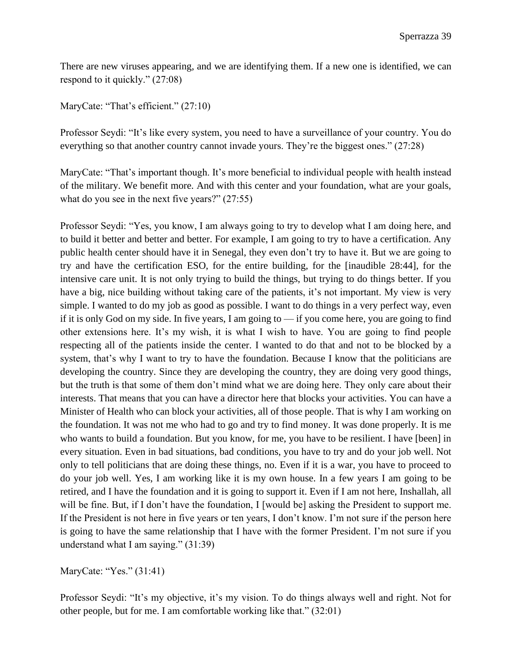There are new viruses appearing, and we are identifying them. If a new one is identified, we can respond to it quickly." (27:08)

MaryCate: "That's efficient." (27:10)

Professor Seydi: "It's like every system, you need to have a surveillance of your country. You do everything so that another country cannot invade yours. They're the biggest ones." (27:28)

MaryCate: "That's important though. It's more beneficial to individual people with health instead of the military. We benefit more. And with this center and your foundation, what are your goals, what do you see in the next five years?" (27:55)

Professor Seydi: "Yes, you know, I am always going to try to develop what I am doing here, and to build it better and better and better. For example, I am going to try to have a certification. Any public health center should have it in Senegal, they even don't try to have it. But we are going to try and have the certification ESO, for the entire building, for the [inaudible 28:44], for the intensive care unit. It is not only trying to build the things, but trying to do things better. If you have a big, nice building without taking care of the patients, it's not important. My view is very simple. I wanted to do my job as good as possible. I want to do things in a very perfect way, even if it is only God on my side. In five years, I am going to — if you come here, you are going to find other extensions here. It's my wish, it is what I wish to have. You are going to find people respecting all of the patients inside the center. I wanted to do that and not to be blocked by a system, that's why I want to try to have the foundation. Because I know that the politicians are developing the country. Since they are developing the country, they are doing very good things, but the truth is that some of them don't mind what we are doing here. They only care about their interests. That means that you can have a director here that blocks your activities. You can have a Minister of Health who can block your activities, all of those people. That is why I am working on the foundation. It was not me who had to go and try to find money. It was done properly. It is me who wants to build a foundation. But you know, for me, you have to be resilient. I have [been] in every situation. Even in bad situations, bad conditions, you have to try and do your job well. Not only to tell politicians that are doing these things, no. Even if it is a war, you have to proceed to do your job well. Yes, I am working like it is my own house. In a few years I am going to be retired, and I have the foundation and it is going to support it. Even if I am not here, Inshallah, all will be fine. But, if I don't have the foundation, I [would be] asking the President to support me. If the President is not here in five years or ten years, I don't know. I'm not sure if the person here is going to have the same relationship that I have with the former President. I'm not sure if you understand what I am saying." (31:39)

MaryCate: "Yes." (31:41)

Professor Seydi: "It's my objective, it's my vision. To do things always well and right. Not for other people, but for me. I am comfortable working like that." (32:01)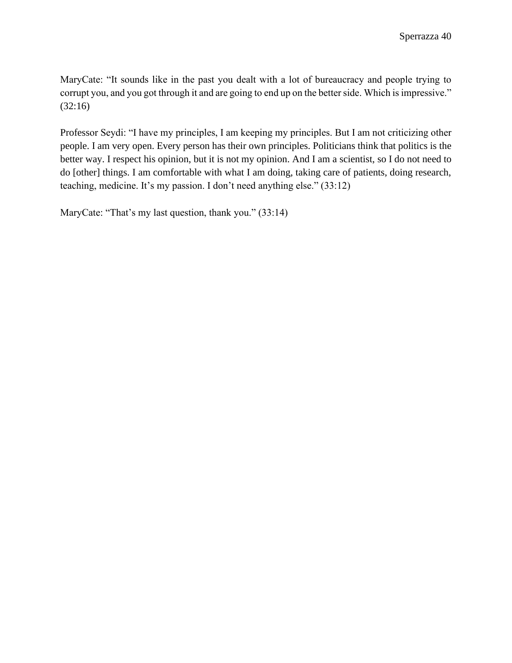MaryCate: "It sounds like in the past you dealt with a lot of bureaucracy and people trying to corrupt you, and you got through it and are going to end up on the better side. Which is impressive." (32:16)

Professor Seydi: "I have my principles, I am keeping my principles. But I am not criticizing other people. I am very open. Every person has their own principles. Politicians think that politics is the better way. I respect his opinion, but it is not my opinion. And I am a scientist, so I do not need to do [other] things. I am comfortable with what I am doing, taking care of patients, doing research, teaching, medicine. It's my passion. I don't need anything else." (33:12)

MaryCate: "That's my last question, thank you." (33:14)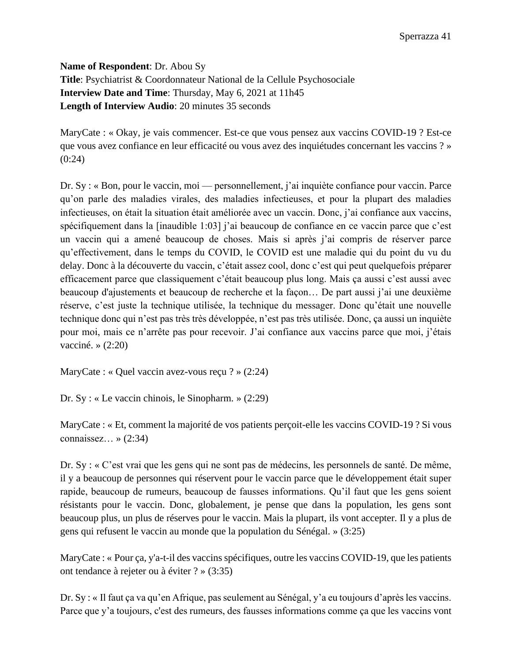<span id="page-42-0"></span>**Name of Respondent**: Dr. Abou Sy **Title**: Psychiatrist & Coordonnateur National de la Cellule Psychosociale **Interview Date and Time**: Thursday, May 6, 2021 at 11h45 **Length of Interview Audio**: 20 minutes 35 seconds

MaryCate : « Okay, je vais commencer. Est-ce que vous pensez aux vaccins COVID-19 ? Est-ce que vous avez confiance en leur efficacité ou vous avez des inquiétudes concernant les vaccins ? » (0:24)

Dr. Sy : « Bon, pour le vaccin, moi — personnellement, j'ai inquiète confiance pour vaccin. Parce qu'on parle des maladies virales, des maladies infectieuses, et pour la plupart des maladies infectieuses, on était la situation était améliorée avec un vaccin. Donc, j'ai confiance aux vaccins, spécifiquement dans la [inaudible 1:03] j'ai beaucoup de confiance en ce vaccin parce que c'est un vaccin qui a amené beaucoup de choses. Mais si après j'ai compris de réserver parce qu'effectivement, dans le temps du COVID, le COVID est une maladie qui du point du vu du delay. Donc à la découverte du vaccin, c'était assez cool, donc c'est qui peut quelquefois préparer efficacement parce que classiquement c'était beaucoup plus long. Mais ça aussi c'est aussi avec beaucoup d'ajustements et beaucoup de recherche et la façon… De part aussi j'ai une deuxième réserve, c'est juste la technique utilisée, la technique du messager. Donc qu'était une nouvelle technique donc qui n'est pas très très développée, n'est pas très utilisée. Donc, ça aussi un inquiète pour moi, mais ce n'arrête pas pour recevoir. J'ai confiance aux vaccins parce que moi, j'étais vacciné. » (2:20)

MaryCate : « Quel vaccin avez-vous reçu ? » (2:24)

Dr. Sy : « Le vaccin chinois, le Sinopharm. » (2:29)

MaryCate : « Et, comment la majorité de vos patients perçoit-elle les vaccins COVID-19 ? Si vous connaissez... »  $(2:34)$ 

Dr. Sy : « C'est vrai que les gens qui ne sont pas de médecins, les personnels de santé. De même, il y a beaucoup de personnes qui réservent pour le vaccin parce que le développement était super rapide, beaucoup de rumeurs, beaucoup de fausses informations. Qu'il faut que les gens soient résistants pour le vaccin. Donc, globalement, je pense que dans la population, les gens sont beaucoup plus, un plus de réserves pour le vaccin. Mais la plupart, ils vont accepter. Il y a plus de gens qui refusent le vaccin au monde que la population du Sénégal. » (3:25)

MaryCate : « Pour ça, y'a-t-il des vaccins spécifiques, outre les vaccins COVID-19, que les patients ont tendance à rejeter ou à éviter ? » (3:35)

Dr. Sy : « Il faut ça va qu'en Afrique, pas seulement au Sénégal, y'a eu toujours d'après les vaccins. Parce que y'a toujours, c'est des rumeurs, des fausses informations comme ça que les vaccins vont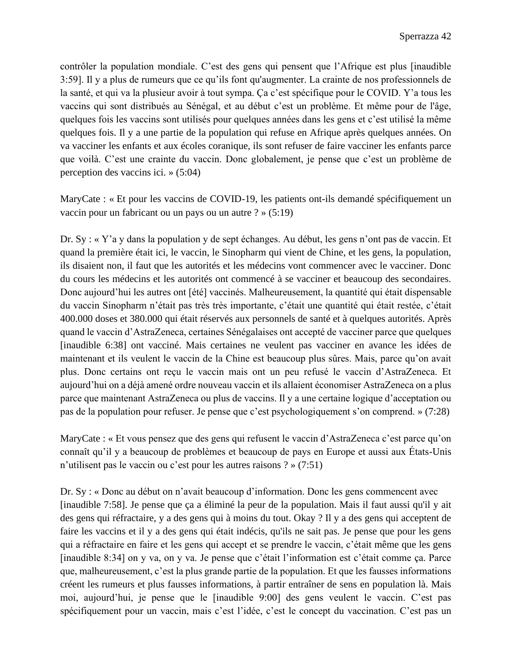contrôler la population mondiale. C'est des gens qui pensent que l'Afrique est plus [inaudible 3:59]. Il y a plus de rumeurs que ce qu'ils font qu'augmenter. La crainte de nos professionnels de la santé, et qui va la plusieur avoir à tout sympa. Ça c'est spécifique pour le COVID. Y'a tous les vaccins qui sont distribués au Sénégal, et au début c'est un problème. Et même pour de l'âge, quelques fois les vaccins sont utilisés pour quelques années dans les gens et c'est utilisé la même quelques fois. Il y a une partie de la population qui refuse en Afrique après quelques années. On va vacciner les enfants et aux écoles coranique, ils sont refuser de faire vacciner les enfants parce que voilà. C'est une crainte du vaccin. Donc globalement, je pense que c'est un problème de perception des vaccins ici. » (5:04)

MaryCate : « Et pour les vaccins de COVID-19, les patients ont-ils demandé spécifiquement un vaccin pour un fabricant ou un pays ou un autre ? » (5:19)

Dr. Sy : « Y'a y dans la population y de sept échanges. Au début, les gens n'ont pas de vaccin. Et quand la première était ici, le vaccin, le Sinopharm qui vient de Chine, et les gens, la population, ils disaient non, il faut que les autorités et les médecins vont commencer avec le vacciner. Donc du cours les médecins et les autorités ont commencé à se vacciner et beaucoup des secondaires. Donc aujourd'hui les autres ont [été] vaccinés. Malheureusement, la quantité qui était dispensable du vaccin Sinopharm n'était pas très très importante, c'était une quantité qui était restée, c'était 400.000 doses et 380.000 qui était réservés aux personnels de santé et à quelques autorités. Après quand le vaccin d'AstraZeneca, certaines Sénégalaises ont accepté de vacciner parce que quelques [inaudible 6:38] ont vacciné. Mais certaines ne veulent pas vacciner en avance les idées de maintenant et ils veulent le vaccin de la Chine est beaucoup plus sûres. Mais, parce qu'on avait plus. Donc certains ont reçu le vaccin mais ont un peu refusé le vaccin d'AstraZeneca. Et aujourd'hui on a déjà amené ordre nouveau vaccin et ils allaient économiser AstraZeneca on a plus parce que maintenant AstraZeneca ou plus de vaccins. Il y a une certaine logique d'acceptation ou pas de la population pour refuser. Je pense que c'est psychologiquement s'on comprend. » (7:28)

MaryCate : « Et vous pensez que des gens qui refusent le vaccin d'AstraZeneca c'est parce qu'on connaît qu'il y a beaucoup de problèmes et beaucoup de pays en Europe et aussi aux États-Unis n'utilisent pas le vaccin ou c'est pour les autres raisons ? » (7:51)

Dr. Sy : « Donc au début on n'avait beaucoup d'information. Donc les gens commencent avec [inaudible 7:58]. Je pense que ça a éliminé la peur de la population. Mais il faut aussi qu'il y ait des gens qui réfractaire, y a des gens qui à moins du tout. Okay ? Il y a des gens qui acceptent de faire les vaccins et il y a des gens qui était indécis, qu'ils ne sait pas. Je pense que pour les gens qui a réfractaire en faire et les gens qui accept et se prendre le vaccin, c'était même que les gens [inaudible 8:34] on y va, on y va. Je pense que c'était l'information est c'était comme ça. Parce que, malheureusement, c'est la plus grande partie de la population. Et que les fausses informations créent les rumeurs et plus fausses informations, à partir entraîner de sens en population là. Mais moi, aujourd'hui, je pense que le [inaudible 9:00] des gens veulent le vaccin. C'est pas spécifiquement pour un vaccin, mais c'est l'idée, c'est le concept du vaccination. C'est pas un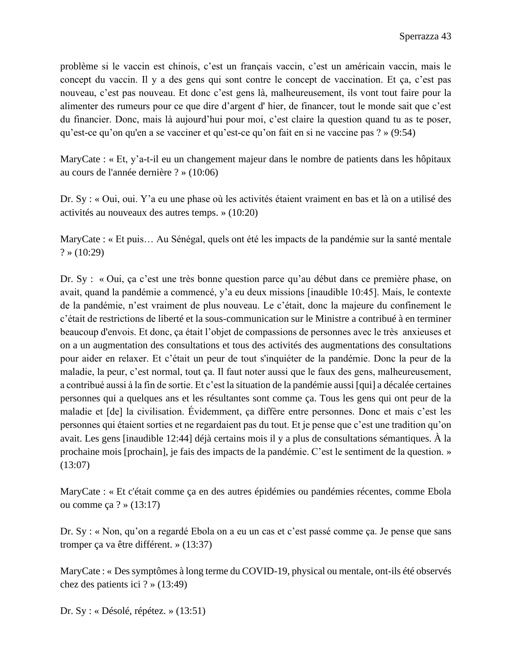problème si le vaccin est chinois, c'est un français vaccin, c'est un américain vaccin, mais le concept du vaccin. Il y a des gens qui sont contre le concept de vaccination. Et ça, c'est pas nouveau, c'est pas nouveau. Et donc c'est gens là, malheureusement, ils vont tout faire pour la alimenter des rumeurs pour ce que dire d'argent d' hier, de financer, tout le monde sait que c'est du financier. Donc, mais là aujourd'hui pour moi, c'est claire la question quand tu as te poser, qu'est-ce qu'on qu'en a se vacciner et qu'est-ce qu'on fait en si ne vaccine pas ? » (9:54)

MaryCate : « Et, y'a-t-il eu un changement majeur dans le nombre de patients dans les hôpitaux au cours de l'année dernière ? » (10:06)

Dr. Sy : « Oui, oui. Y'a eu une phase où les activités étaient vraiment en bas et là on a utilisé des activités au nouveaux des autres temps. » (10:20)

MaryCate : « Et puis… Au Sénégal, quels ont été les impacts de la pandémie sur la santé mentale  $? \times (10:29)$ 

Dr. Sy : « Oui, ça c'est une très bonne question parce qu'au début dans ce première phase, on avait, quand la pandémie a commencé, y'a eu deux missions [inaudible 10:45]. Mais, le contexte de la pandémie, n'est vraiment de plus nouveau. Le c'était, donc la majeure du confinement le c'était de restrictions de liberté et la sous-communication sur le Ministre a contribué à en terminer beaucoup d'envois. Et donc, ça était l'objet de compassions de personnes avec le très anxieuses et on a un augmentation des consultations et tous des activités des augmentations des consultations pour aider en relaxer. Et c'était un peur de tout s'inquiéter de la pandémie. Donc la peur de la maladie, la peur, c'est normal, tout ça. Il faut noter aussi que le faux des gens, malheureusement, a contribué aussi à la fin de sortie. Et c'est la situation de la pandémie aussi [qui] a décalée certaines personnes qui a quelques ans et les résultantes sont comme ça. Tous les gens qui ont peur de la maladie et [de] la civilisation. Évidemment, ça diffère entre personnes. Donc et mais c'est les personnes qui étaient sorties et ne regardaient pas du tout. Et je pense que c'est une tradition qu'on avait. Les gens [inaudible 12:44] déjà certains mois il y a plus de consultations sémantiques. À la prochaine mois [prochain], je fais des impacts de la pandémie. C'est le sentiment de la question. » (13:07)

MaryCate : « Et c'était comme ça en des autres épidémies ou pandémies récentes, comme Ebola ou comme ça ? » (13:17)

Dr. Sy : « Non, qu'on a regardé Ebola on a eu un cas et c'est passé comme ça. Je pense que sans tromper ça va être différent. » (13:37)

MaryCate : « Des symptômes à long terme du COVID-19, physical ou mentale, ont-ils été observés chez des patients ici ? » (13:49)

Dr. Sy : « Désolé, répétez. » (13:51)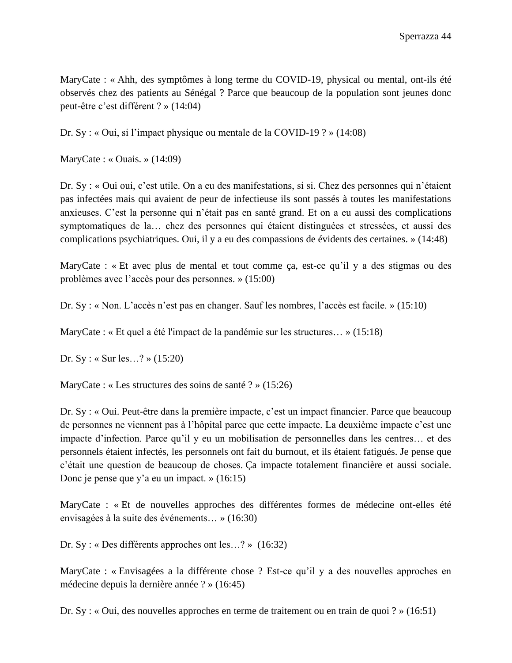MaryCate : « Ahh, des symptômes à long terme du COVID-19, physical ou mental, ont-ils été observés chez des patients au Sénégal ? Parce que beaucoup de la population sont jeunes donc peut-être c'est différent ? » (14:04)

Dr. Sy : « Oui, si l'impact physique ou mentale de la COVID-19 ? » (14:08)

MaryCate : « Ouais. » (14:09)

Dr. Sy : « Oui oui, c'est utile. On a eu des manifestations, si si. Chez des personnes qui n'étaient pas infectées mais qui avaient de peur de infectieuse ils sont passés à toutes les manifestations anxieuses. C'est la personne qui n'était pas en santé grand. Et on a eu aussi des complications symptomatiques de la… chez des personnes qui étaient distinguées et stressées, et aussi des complications psychiatriques. Oui, il y a eu des compassions de évidents des certaines. » (14:48)

MaryCate : « Et avec plus de mental et tout comme ça, est-ce qu'il y a des stigmas ou des problèmes avec l'accès pour des personnes. » (15:00)

Dr. Sy : « Non. L'accès n'est pas en changer. Sauf les nombres, l'accès est facile. » (15:10)

MaryCate : « Et quel a été l'impact de la pandémie sur les structures… » (15:18)

Dr. Sy : « Sur les…? » (15:20)

MaryCate : « Les structures des soins de santé ? » (15:26)

Dr. Sy : « Oui. Peut-être dans la première impacte, c'est un impact financier. Parce que beaucoup de personnes ne viennent pas à l'hôpital parce que cette impacte. La deuxième impacte c'est une impacte d'infection. Parce qu'il y eu un mobilisation de personnelles dans les centres… et des personnels étaient infectés, les personnels ont fait du burnout, et ils étaient fatigués. Je pense que c'était une question de beaucoup de choses. Ça impacte totalement financière et aussi sociale. Donc je pense que y'a eu un impact. » (16:15)

MaryCate : « Et de nouvelles approches des différentes formes de médecine ont-elles été envisagées à la suite des événements… » (16:30)

Dr. Sy : « Des différents approches ont les…? » (16:32)

MaryCate : « Envisagées a la différente chose ? Est-ce qu'il y a des nouvelles approches en médecine depuis la dernière année ? » (16:45)

Dr. Sy : « Oui, des nouvelles approches en terme de traitement ou en train de quoi ? » (16:51)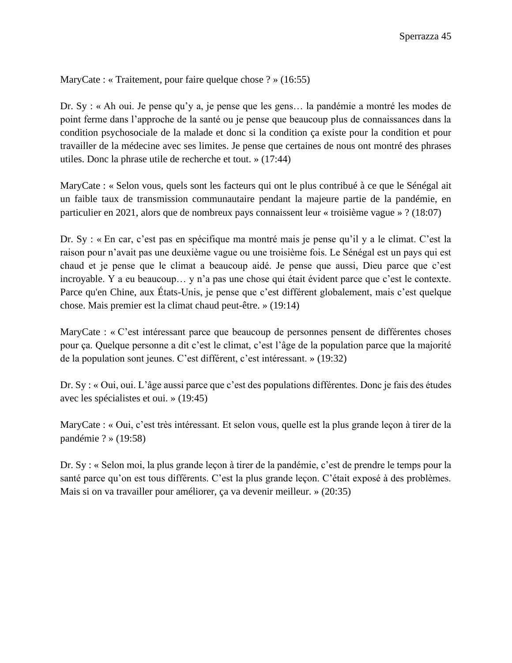MaryCate : « Traitement, pour faire quelque chose ? » (16:55)

Dr. Sy : « Ah oui. Je pense qu'y a, je pense que les gens… la pandémie a montré les modes de point ferme dans l'approche de la santé ou je pense que beaucoup plus de connaissances dans la condition psychosociale de la malade et donc si la condition ça existe pour la condition et pour travailler de la médecine avec ses limites. Je pense que certaines de nous ont montré des phrases utiles. Donc la phrase utile de recherche et tout. » (17:44)

MaryCate : « Selon vous, quels sont les facteurs qui ont le plus contribué à ce que le Sénégal ait un faible taux de transmission communautaire pendant la majeure partie de la pandémie, en particulier en 2021, alors que de nombreux pays connaissent leur « troisième vague » ? (18:07)

Dr. Sy : « En car, c'est pas en spécifique ma montré mais je pense qu'il y a le climat. C'est la raison pour n'avait pas une deuxième vague ou une troisième fois. Le Sénégal est un pays qui est chaud et je pense que le climat a beaucoup aidé. Je pense que aussi, Dieu parce que c'est incroyable. Y a eu beaucoup… y n'a pas une chose qui était évident parce que c'est le contexte. Parce qu'en Chine, aux États-Unis, je pense que c'est différent globalement, mais c'est quelque chose. Mais premier est la climat chaud peut-être. » (19:14)

MaryCate : « C'est intéressant parce que beaucoup de personnes pensent de différentes choses pour ça. Quelque personne a dit c'est le climat, c'est l'âge de la population parce que la majorité de la population sont jeunes. C'est différent, c'est intéressant. » (19:32)

Dr. Sy : « Oui, oui. L'âge aussi parce que c'est des populations différentes. Donc je fais des études avec les spécialistes et oui. » (19:45)

MaryCate : « Oui, c'est très intéressant. Et selon vous, quelle est la plus grande leçon à tirer de la pandémie ? » (19:58)

Dr. Sy : « Selon moi, la plus grande leçon à tirer de la pandémie, c'est de prendre le temps pour la santé parce qu'on est tous différents. C'est la plus grande leçon. C'était exposé à des problèmes. Mais si on va travailler pour améliorer, ça va devenir meilleur. » (20:35)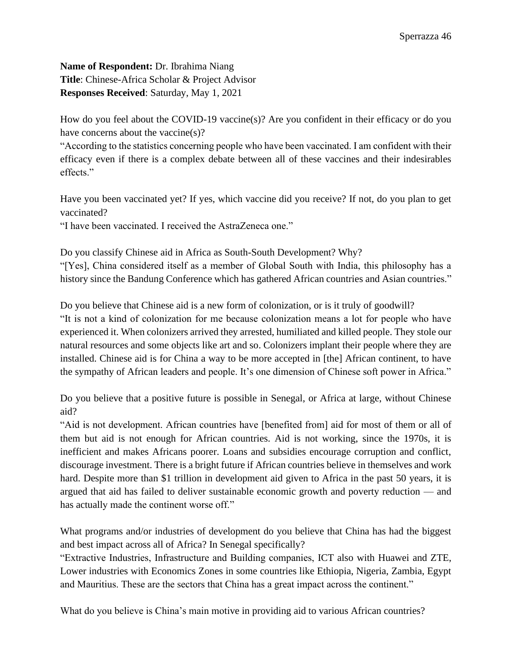<span id="page-47-0"></span>**Name of Respondent:** Dr. Ibrahima Niang **Title**: Chinese-Africa Scholar & Project Advisor **Responses Received**: Saturday, May 1, 2021

How do you feel about the COVID-19 vaccine(s)? Are you confident in their efficacy or do you have concerns about the vaccine(s)?

"According to the statistics concerning people who have been vaccinated. I am confident with their efficacy even if there is a complex debate between all of these vaccines and their indesirables effects."

Have you been vaccinated yet? If yes, which vaccine did you receive? If not, do you plan to get vaccinated?

"I have been vaccinated. I received the AstraZeneca one."

Do you classify Chinese aid in Africa as South-South Development? Why? "[Yes], China considered itself as a member of Global South with India, this philosophy has a history since the Bandung Conference which has gathered African countries and Asian countries."

Do you believe that Chinese aid is a new form of colonization, or is it truly of goodwill?

"It is not a kind of colonization for me because colonization means a lot for people who have experienced it. When colonizers arrived they arrested, humiliated and killed people. They stole our natural resources and some objects like art and so. Colonizers implant their people where they are installed. Chinese aid is for China a way to be more accepted in [the] African continent, to have the sympathy of African leaders and people. It's one dimension of Chinese soft power in Africa."

Do you believe that a positive future is possible in Senegal, or Africa at large, without Chinese aid?

"Aid is not development. African countries have [benefited from] aid for most of them or all of them but aid is not enough for African countries. Aid is not working, since the 1970s, it is inefficient and makes Africans poorer. Loans and subsidies encourage corruption and conflict, discourage investment. There is a bright future if African countries believe in themselves and work hard. Despite more than \$1 trillion in development aid given to Africa in the past 50 years, it is argued that aid has failed to deliver sustainable economic growth and poverty reduction — and has actually made the continent worse off."

What programs and/or industries of development do you believe that China has had the biggest and best impact across all of Africa? In Senegal specifically?

"Extractive Industries, Infrastructure and Building companies, ICT also with Huawei and ZTE, Lower industries with Economics Zones in some countries like Ethiopia, Nigeria, Zambia, Egypt and Mauritius. These are the sectors that China has a great impact across the continent."

What do you believe is China's main motive in providing aid to various African countries?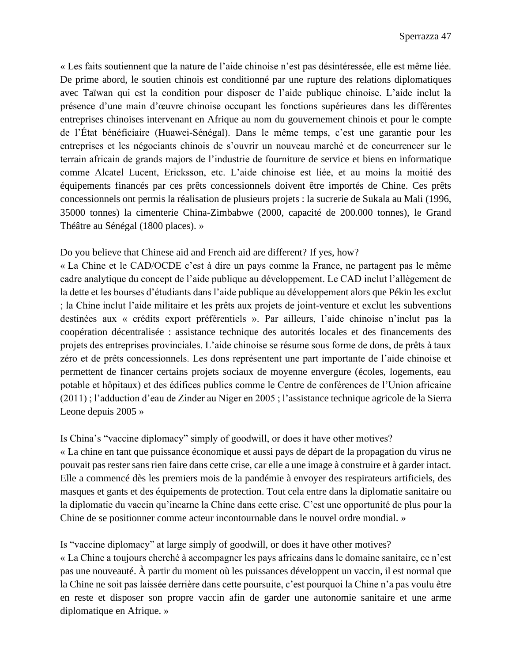« Les faits soutiennent que la nature de l'aide chinoise n'est pas désintéressée, elle est même liée. De prime abord, le soutien chinois est conditionné par une rupture des relations diplomatiques avec Taïwan qui est la condition pour disposer de l'aide publique chinoise. L'aide inclut la présence d'une main d'œuvre chinoise occupant les fonctions supérieures dans les différentes entreprises chinoises intervenant en Afrique au nom du gouvernement chinois et pour le compte de l'État bénéficiaire (Huawei-Sénégal). Dans le même temps, c'est une garantie pour les entreprises et les négociants chinois de s'ouvrir un nouveau marché et de concurrencer sur le terrain africain de grands majors de l'industrie de fourniture de service et biens en informatique comme Alcatel Lucent, Ericksson, etc. L'aide chinoise est liée, et au moins la moitié des équipements financés par ces prêts concessionnels doivent être importés de Chine. Ces prêts concessionnels ont permis la réalisation de plusieurs projets : la sucrerie de Sukala au Mali (1996, 35000 tonnes) la cimenterie China-Zimbabwe (2000, capacité de 200.000 tonnes), le Grand Théâtre au Sénégal (1800 places). »

# Do you believe that Chinese aid and French aid are different? If yes, how?

« La Chine et le CAD/OCDE c'est à dire un pays comme la France, ne partagent pas le même cadre analytique du concept de l'aide publique au développement. Le CAD inclut l'allègement de la dette et les bourses d'étudiants dans l'aide publique au développement alors que Pékin les exclut ; la Chine inclut l'aide militaire et les prêts aux projets de joint-venture et exclut les subventions destinées aux « crédits export préférentiels ». Par ailleurs, l'aide chinoise n'inclut pas la coopération décentralisée : assistance technique des autorités locales et des financements des projets des entreprises provinciales. L'aide chinoise se résume sous forme de dons, de prêts à taux zéro et de prêts concessionnels. Les dons représentent une part importante de l'aide chinoise et permettent de financer certains projets sociaux de moyenne envergure (écoles, logements, eau potable et hôpitaux) et des édifices publics comme le Centre de conférences de l'Union africaine (2011) ; l'adduction d'eau de Zinder au Niger en 2005 ; l'assistance technique agricole de la Sierra Leone depuis 2005 »

# Is China's "vaccine diplomacy" simply of goodwill, or does it have other motives?

« La chine en tant que puissance économique et aussi pays de départ de la propagation du virus ne pouvait pas rester sans rien faire dans cette crise, car elle a une image à construire et à garder intact. Elle a commencé dès les premiers mois de la pandémie à envoyer des respirateurs artificiels, des masques et gants et des équipements de protection. Tout cela entre dans la diplomatie sanitaire ou la diplomatie du vaccin qu'incarne la Chine dans cette crise. C'est une opportunité de plus pour la Chine de se positionner comme acteur incontournable dans le nouvel ordre mondial. »

# Is "vaccine diplomacy" at large simply of goodwill, or does it have other motives?

« La Chine a toujours cherché à accompagner les pays africains dans le domaine sanitaire, ce n'est pas une nouveauté. À partir du moment où les puissances développent un vaccin, il est normal que la Chine ne soit pas laissée derrière dans cette poursuite, c'est pourquoi la Chine n'a pas voulu être en reste et disposer son propre vaccin afin de garder une autonomie sanitaire et une arme diplomatique en Afrique. »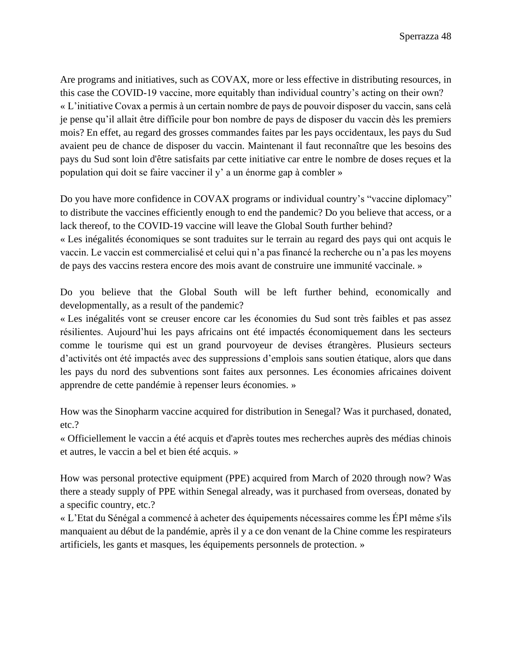Are programs and initiatives, such as COVAX, more or less effective in distributing resources, in this case the COVID-19 vaccine, more equitably than individual country's acting on their own? « L'initiative Covax a permis à un certain nombre de pays de pouvoir disposer du vaccin, sans celà je pense qu'il allait être difficile pour bon nombre de pays de disposer du vaccin dès les premiers mois? En effet, au regard des grosses commandes faites par les pays occidentaux, les pays du Sud avaient peu de chance de disposer du vaccin. Maintenant il faut reconnaître que les besoins des pays du Sud sont loin d'être satisfaits par cette initiative car entre le nombre de doses reçues et la population qui doit se faire vacciner il y' a un énorme gap à combler »

Do you have more confidence in COVAX programs or individual country's "vaccine diplomacy" to distribute the vaccines efficiently enough to end the pandemic? Do you believe that access, or a lack thereof, to the COVID-19 vaccine will leave the Global South further behind?

« Les inégalités économiques se sont traduites sur le terrain au regard des pays qui ont acquis le vaccin. Le vaccin est commercialisé et celui qui n'a pas financé la recherche ou n'a pas les moyens de pays des vaccins restera encore des mois avant de construire une immunité vaccinale. »

Do you believe that the Global South will be left further behind, economically and developmentally, as a result of the pandemic?

« Les inégalités vont se creuser encore car les économies du Sud sont très faibles et pas assez résilientes. Aujourd'hui les pays africains ont été impactés économiquement dans les secteurs comme le tourisme qui est un grand pourvoyeur de devises étrangères. Plusieurs secteurs d'activités ont été impactés avec des suppressions d'emplois sans soutien étatique, alors que dans les pays du nord des subventions sont faites aux personnes. Les économies africaines doivent apprendre de cette pandémie à repenser leurs économies. »

How was the Sinopharm vaccine acquired for distribution in Senegal? Was it purchased, donated, etc.?

« Officiellement le vaccin a été acquis et d'après toutes mes recherches auprès des médias chinois et autres, le vaccin a bel et bien été acquis. »

How was personal protective equipment (PPE) acquired from March of 2020 through now? Was there a steady supply of PPE within Senegal already, was it purchased from overseas, donated by a specific country, etc.?

« L'Etat du Sénégal a commencé à acheter des équipements nécessaires comme les ÉPI même s'ils manquaient au début de la pandémie, après il y a ce don venant de la Chine comme les respirateurs artificiels, les gants et masques, les équipements personnels de protection. »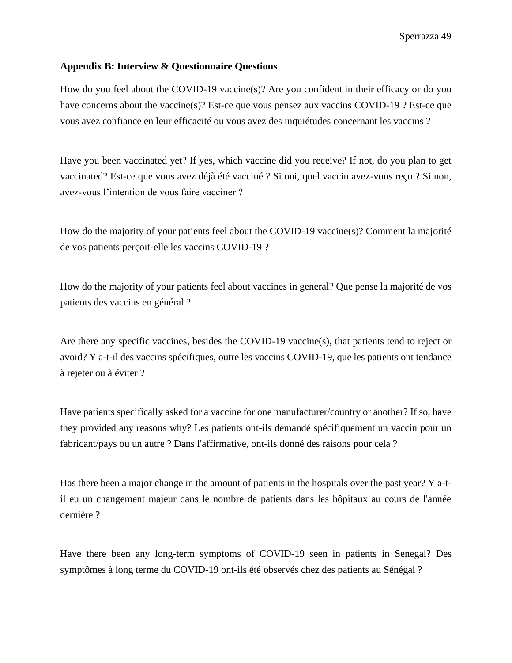## <span id="page-50-0"></span>**Appendix B: Interview & Questionnaire Questions**

How do you feel about the COVID-19 vaccine(s)? Are you confident in their efficacy or do you have concerns about the vaccine(s)? Est-ce que vous pensez aux vaccins COVID-19 ? Est-ce que vous avez confiance en leur efficacité ou vous avez des inquiétudes concernant les vaccins ?

Have you been vaccinated yet? If yes, which vaccine did you receive? If not, do you plan to get vaccinated? Est-ce que vous avez déjà été vacciné ? Si oui, quel vaccin avez-vous reçu ? Si non, avez-vous l'intention de vous faire vacciner ?

How do the majority of your patients feel about the COVID-19 vaccine(s)? Comment la majorité de vos patients perçoit-elle les vaccins COVID-19 ?

How do the majority of your patients feel about vaccines in general? Que pense la majorité de vos patients des vaccins en général ?

Are there any specific vaccines, besides the COVID-19 vaccine(s), that patients tend to reject or avoid? Y a-t-il des vaccins spécifiques, outre les vaccins COVID-19, que les patients ont tendance à rejeter ou à éviter ?

Have patients specifically asked for a vaccine for one manufacturer/country or another? If so, have they provided any reasons why? Les patients ont-ils demandé spécifiquement un vaccin pour un fabricant/pays ou un autre ? Dans l'affirmative, ont-ils donné des raisons pour cela ?

Has there been a major change in the amount of patients in the hospitals over the past year? Y a-til eu un changement majeur dans le nombre de patients dans les hôpitaux au cours de l'année dernière ?

Have there been any long-term symptoms of COVID-19 seen in patients in Senegal? Des symptômes à long terme du COVID-19 ont-ils été observés chez des patients au Sénégal ?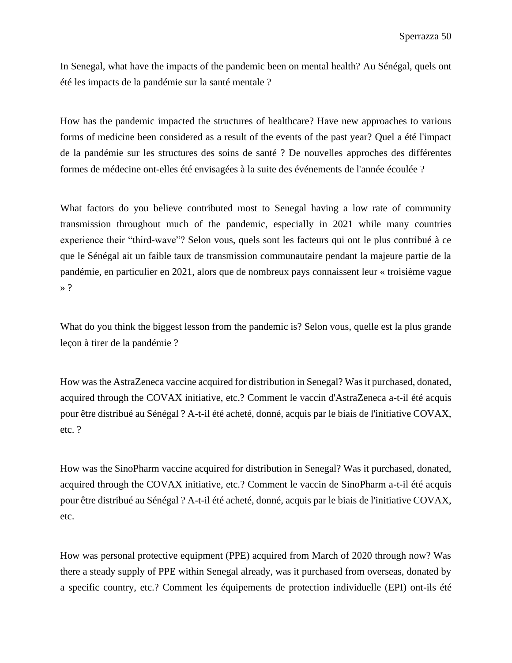In Senegal, what have the impacts of the pandemic been on mental health? Au Sénégal, quels ont été les impacts de la pandémie sur la santé mentale ?

How has the pandemic impacted the structures of healthcare? Have new approaches to various forms of medicine been considered as a result of the events of the past year? Quel a été l'impact de la pandémie sur les structures des soins de santé ? De nouvelles approches des différentes formes de médecine ont-elles été envisagées à la suite des événements de l'année écoulée ?

What factors do you believe contributed most to Senegal having a low rate of community transmission throughout much of the pandemic, especially in 2021 while many countries experience their "third-wave"? Selon vous, quels sont les facteurs qui ont le plus contribué à ce que le Sénégal ait un faible taux de transmission communautaire pendant la majeure partie de la pandémie, en particulier en 2021, alors que de nombreux pays connaissent leur « troisième vague » ?

What do you think the biggest lesson from the pandemic is? Selon yous, quelle est la plus grande leçon à tirer de la pandémie ?

How was the AstraZeneca vaccine acquired for distribution in Senegal? Was it purchased, donated, acquired through the COVAX initiative, etc.? Comment le vaccin d'AstraZeneca a-t-il été acquis pour être distribué au Sénégal ? A-t-il été acheté, donné, acquis par le biais de l'initiative COVAX, etc. ?

How was the SinoPharm vaccine acquired for distribution in Senegal? Was it purchased, donated, acquired through the COVAX initiative, etc.? Comment le vaccin de SinoPharm a-t-il été acquis pour être distribué au Sénégal ? A-t-il été acheté, donné, acquis par le biais de l'initiative COVAX, etc.

How was personal protective equipment (PPE) acquired from March of 2020 through now? Was there a steady supply of PPE within Senegal already, was it purchased from overseas, donated by a specific country, etc.? Comment les équipements de protection individuelle (EPI) ont-ils été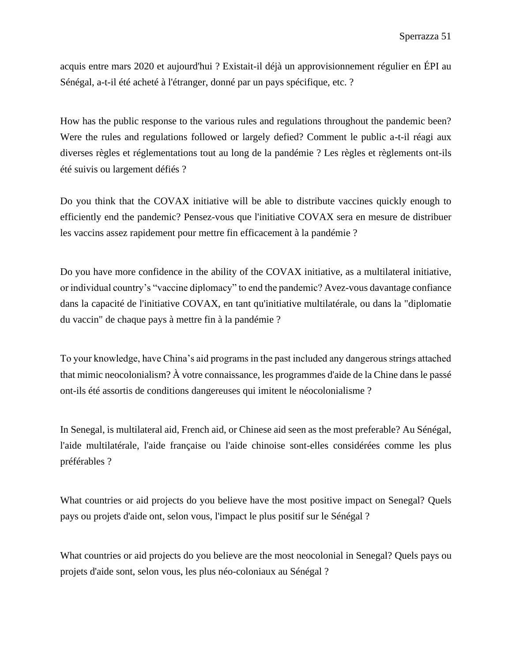acquis entre mars 2020 et aujourd'hui ? Existait-il déjà un approvisionnement régulier en ÉPI au Sénégal, a-t-il été acheté à l'étranger, donné par un pays spécifique, etc. ?

How has the public response to the various rules and regulations throughout the pandemic been? Were the rules and regulations followed or largely defied? Comment le public a-t-il réagi aux diverses règles et réglementations tout au long de la pandémie ? Les règles et règlements ont-ils été suivis ou largement défiés ?

Do you think that the COVAX initiative will be able to distribute vaccines quickly enough to efficiently end the pandemic? Pensez-vous que l'initiative COVAX sera en mesure de distribuer les vaccins assez rapidement pour mettre fin efficacement à la pandémie ?

Do you have more confidence in the ability of the COVAX initiative, as a multilateral initiative, or individual country's "vaccine diplomacy" to end the pandemic? Avez-vous davantage confiance dans la capacité de l'initiative COVAX, en tant qu'initiative multilatérale, ou dans la "diplomatie du vaccin" de chaque pays à mettre fin à la pandémie ?

To your knowledge, have China's aid programs in the past included any dangerous strings attached that mimic neocolonialism? À votre connaissance, les programmes d'aide de la Chine dans le passé ont-ils été assortis de conditions dangereuses qui imitent le néocolonialisme ?

In Senegal, is multilateral aid, French aid, or Chinese aid seen as the most preferable? Au Sénégal, l'aide multilatérale, l'aide française ou l'aide chinoise sont-elles considérées comme les plus préférables ?

What countries or aid projects do you believe have the most positive impact on Senegal? Quels pays ou projets d'aide ont, selon vous, l'impact le plus positif sur le Sénégal ?

What countries or aid projects do you believe are the most neocolonial in Senegal? Quels pays ou projets d'aide sont, selon vous, les plus néo-coloniaux au Sénégal ?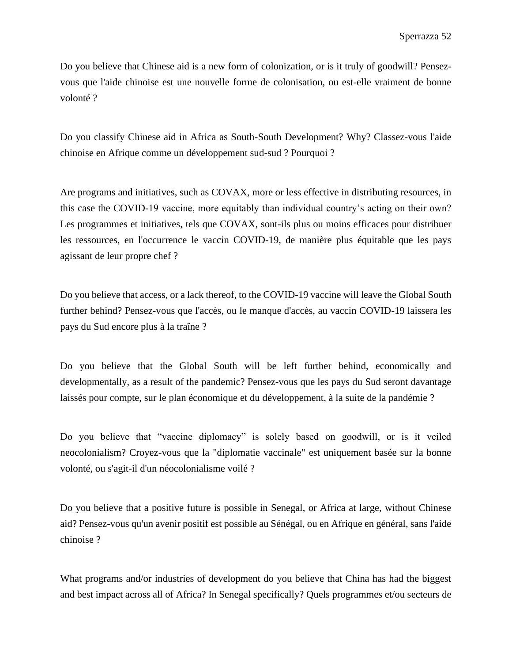Do you believe that Chinese aid is a new form of colonization, or is it truly of goodwill? Pensezvous que l'aide chinoise est une nouvelle forme de colonisation, ou est-elle vraiment de bonne volonté ?

Do you classify Chinese aid in Africa as South-South Development? Why? Classez-vous l'aide chinoise en Afrique comme un développement sud-sud ? Pourquoi ?

Are programs and initiatives, such as COVAX, more or less effective in distributing resources, in this case the COVID-19 vaccine, more equitably than individual country's acting on their own? Les programmes et initiatives, tels que COVAX, sont-ils plus ou moins efficaces pour distribuer les ressources, en l'occurrence le vaccin COVID-19, de manière plus équitable que les pays agissant de leur propre chef ?

Do you believe that access, or a lack thereof, to the COVID-19 vaccine will leave the Global South further behind? Pensez-vous que l'accès, ou le manque d'accès, au vaccin COVID-19 laissera les pays du Sud encore plus à la traîne ?

Do you believe that the Global South will be left further behind, economically and developmentally, as a result of the pandemic? Pensez-vous que les pays du Sud seront davantage laissés pour compte, sur le plan économique et du développement, à la suite de la pandémie ?

Do you believe that "vaccine diplomacy" is solely based on goodwill, or is it veiled neocolonialism? Croyez-vous que la "diplomatie vaccinale" est uniquement basée sur la bonne volonté, ou s'agit-il d'un néocolonialisme voilé ?

Do you believe that a positive future is possible in Senegal, or Africa at large, without Chinese aid? Pensez-vous qu'un avenir positif est possible au Sénégal, ou en Afrique en général, sans l'aide chinoise ?

What programs and/or industries of development do you believe that China has had the biggest and best impact across all of Africa? In Senegal specifically? Quels programmes et/ou secteurs de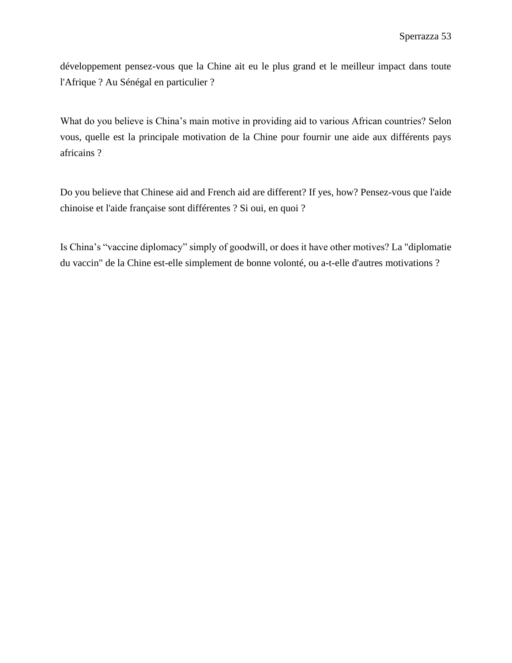développement pensez-vous que la Chine ait eu le plus grand et le meilleur impact dans toute l'Afrique ? Au Sénégal en particulier ?

What do you believe is China's main motive in providing aid to various African countries? Selon vous, quelle est la principale motivation de la Chine pour fournir une aide aux différents pays africains ?

Do you believe that Chinese aid and French aid are different? If yes, how? Pensez-vous que l'aide chinoise et l'aide française sont différentes ? Si oui, en quoi ?

Is China's "vaccine diplomacy" simply of goodwill, or does it have other motives? La "diplomatie du vaccin" de la Chine est-elle simplement de bonne volonté, ou a-t-elle d'autres motivations ?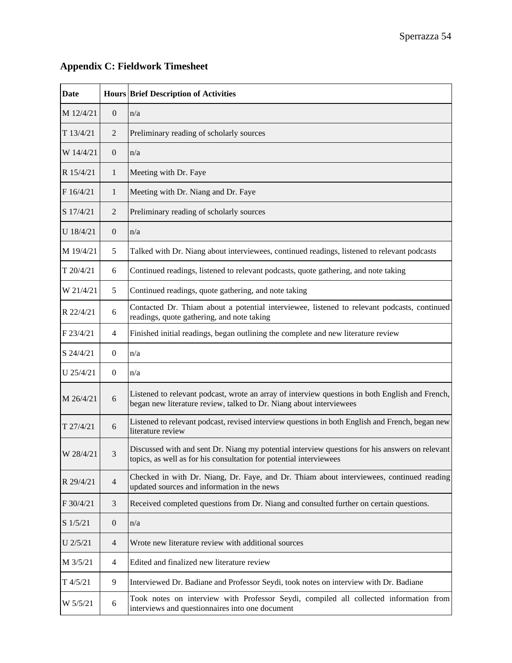<u> 1989 - Johann Barn, mars ann an t-Amhain Aonaich an t-Aonaich an t-Aonaich ann an t-Aonaich ann an t-Aonaich</u>

| Date        |                  | <b>Hours Brief Description of Activities</b>                                                                                                                           |  |
|-------------|------------------|------------------------------------------------------------------------------------------------------------------------------------------------------------------------|--|
| M 12/4/21   | $\mathbf{0}$     | n/a                                                                                                                                                                    |  |
| T 13/4/21   | $\overline{2}$   | Preliminary reading of scholarly sources                                                                                                                               |  |
| W 14/4/21   | $\boldsymbol{0}$ | n/a                                                                                                                                                                    |  |
| R 15/4/21   | $\mathbf{1}$     | Meeting with Dr. Faye                                                                                                                                                  |  |
| F16/4/21    | $\mathbf{1}$     | Meeting with Dr. Niang and Dr. Faye                                                                                                                                    |  |
| S 17/4/21   | $\overline{2}$   | Preliminary reading of scholarly sources                                                                                                                               |  |
| U 18/4/21   | $\mathbf{0}$     | n/a                                                                                                                                                                    |  |
| M 19/4/21   | 5                | Talked with Dr. Niang about interviewees, continued readings, listened to relevant podcasts                                                                            |  |
| T 20/4/21   | 6                | Continued readings, listened to relevant podcasts, quote gathering, and note taking                                                                                    |  |
| W 21/4/21   | 5                | Continued readings, quote gathering, and note taking                                                                                                                   |  |
| R 22/4/21   | 6                | Contacted Dr. Thiam about a potential interviewee, listened to relevant podcasts, continued<br>readings, quote gathering, and note taking                              |  |
| $F$ 23/4/21 | 4                | Finished initial readings, began outlining the complete and new literature review                                                                                      |  |
| S 24/4/21   | $\mathbf{0}$     | n/a                                                                                                                                                                    |  |
| U 25/4/21   | $\overline{0}$   | n/a                                                                                                                                                                    |  |
| M 26/4/21   | 6                | Listened to relevant podcast, wrote an array of interview questions in both English and French,<br>began new literature review, talked to Dr. Niang about interviewees |  |
| T 27/4/21   | 6                | Listened to relevant podcast, revised interview questions in both English and French, began new<br>literature review                                                   |  |
| W 28/4/21   | 3                | Discussed with and sent Dr. Niang my potential interview questions for his answers on relevant<br>topics, as well as for his consultation for potential interviewees   |  |
| R 29/4/21   | $\overline{4}$   | Checked in with Dr. Niang, Dr. Faye, and Dr. Thiam about interviewees, continued reading<br>updated sources and information in the news                                |  |
| F 30/4/21   | 3                | Received completed questions from Dr. Niang and consulted further on certain questions.                                                                                |  |
| S 1/5/21    | $\boldsymbol{0}$ | n/a                                                                                                                                                                    |  |
| U 2/5/21    | $\overline{4}$   | Wrote new literature review with additional sources                                                                                                                    |  |
| M 3/5/21    | 4                | Edited and finalized new literature review                                                                                                                             |  |
| T 4/5/21    | 9                | Interviewed Dr. Badiane and Professor Seydi, took notes on interview with Dr. Badiane                                                                                  |  |
| W 5/5/21    | 6                | Took notes on interview with Professor Seydi, compiled all collected information from<br>interviews and questionnaires into one document                               |  |

# <span id="page-55-0"></span>**Appendix C: Fieldwork Timesheet**

 $\blacksquare$